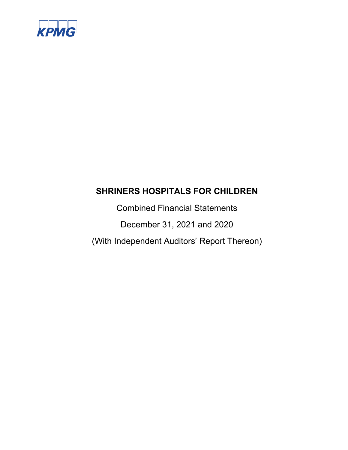

Combined Financial Statements December 31, 2021 and 2020 (With Independent Auditors' Report Thereon)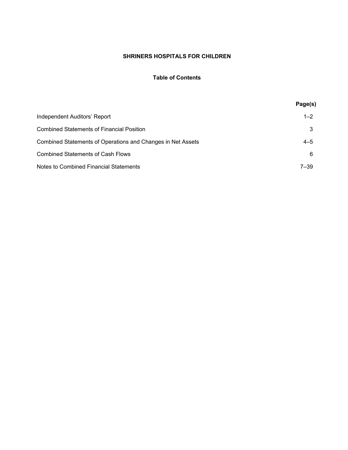## **Table of Contents**

|                                                             | Page(s)  |
|-------------------------------------------------------------|----------|
| Independent Auditors' Report                                | $1 - 2$  |
| Combined Statements of Financial Position.                  | 3        |
| Combined Statements of Operations and Changes in Net Assets | $4 - 5$  |
| Combined Statements of Cash Flows                           | 6        |
| <b>Notes to Combined Financial Statements</b>               | $7 - 39$ |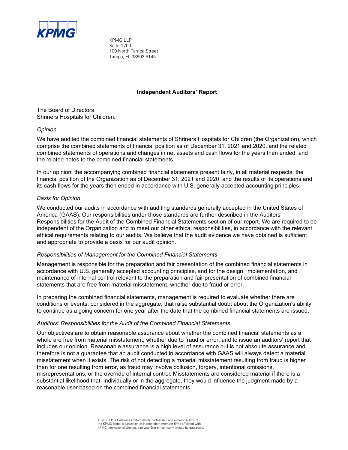

KPMG LLP Suite 1700 100 North Tampa Street Tampa, FL 33602-5145

## **Independent Auditors' Report**

The Board of Directors Shriners Hospitals for Children:

## *Opinion*

We have audited the combined financial statements of Shriners Hospitals for Children (the Organization), which comprise the combined statements of financial position as of December 31, 2021 and 2020, and the related combined statements of operations and changes in net assets and cash flows for the years then ended, and the related notes to the combined financial statements.

In our opinion, the accompanying combined financial statements present fairly, in all material respects, the financial position of the Organization as of December 31, 2021 and 2020, and the results of its operations and its cash flows for the years then ended in accordance with U.S. generally accepted accounting principles.

## *Basis for Opinion*

We conducted our audits in accordance with auditing standards generally accepted in the United States of America (GAAS). Our responsibilities under those standards are further described in the Auditors' Responsibilities for the Audit of the Combined Financial Statements section of our report. We are required to be independent of the Organization and to meet our other ethical responsibilities, in accordance with the relevant ethical requirements relating to our audits. We believe that the audit evidence we have obtained is sufficient and appropriate to provide a basis for our audit opinion.

#### *Responsibilities of Management for the Combined Financial Statements*

Management is responsible for the preparation and fair presentation of the combined financial statements in accordance with U.S. generally accepted accounting principles, and for the design, implementation, and maintenance of internal control relevant to the preparation and fair presentation of combined financial statements that are free from material misstatement, whether due to fraud or error.

In preparing the combined financial statements, management is required to evaluate whether there are conditions or events, considered in the aggregate, that raise substantial doubt about the Organization's ability to continue as a going concern for one year after the date that the combined financial statements are issued.

#### *Auditors' Responsibilities for the Audit of the Combined Financial Statements*

Our objectives are to obtain reasonable assurance about whether the combined financial statements as a whole are free from material misstatement, whether due to fraud or error, and to issue an auditors' report that includes our opinion. Reasonable assurance is a high level of assurance but is not absolute assurance and therefore is not a guarantee that an audit conducted in accordance with GAAS will always detect a material misstatement when it exists. The risk of not detecting a material misstatement resulting from fraud is higher than for one resulting from error, as fraud may involve collusion, forgery, intentional omissions, misrepresentations, or the override of internal control. Misstatements are considered material if there is a substantial likelihood that, individually or in the aggregate, they would influence the judgment made by a reasonable user based on the combined financial statements.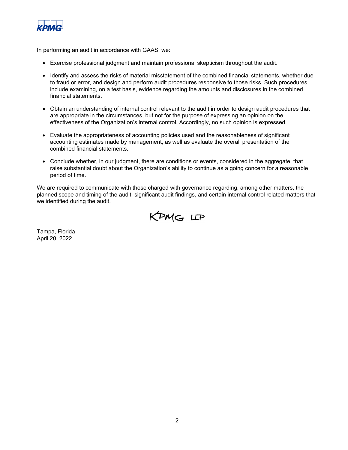

In performing an audit in accordance with GAAS, we:

- Exercise professional judgment and maintain professional skepticism throughout the audit.
- Identify and assess the risks of material misstatement of the combined financial statements, whether due to fraud or error, and design and perform audit procedures responsive to those risks. Such procedures include examining, on a test basis, evidence regarding the amounts and disclosures in the combined financial statements.
- Obtain an understanding of internal control relevant to the audit in order to design audit procedures that are appropriate in the circumstances, but not for the purpose of expressing an opinion on the effectiveness of the Organization's internal control. Accordingly, no such opinion is expressed.
- Evaluate the appropriateness of accounting policies used and the reasonableness of significant accounting estimates made by management, as well as evaluate the overall presentation of the combined financial statements.
- Conclude whether, in our judgment, there are conditions or events, considered in the aggregate, that raise substantial doubt about the Organization's ability to continue as a going concern for a reasonable period of time.

We are required to communicate with those charged with governance regarding, among other matters, the planned scope and timing of the audit, significant audit findings, and certain internal control related matters that we identified during the audit.



Tampa, Florida April 20, 2022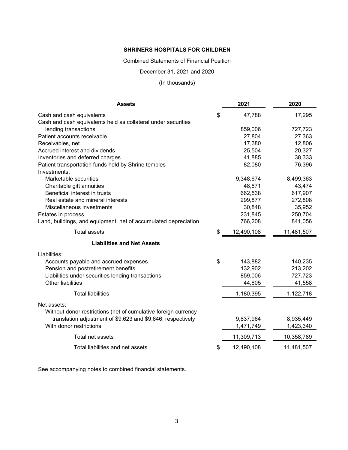Combined Statements of Financial Position

December 31, 2021 and 2020

## (In thousands)

| <b>Assets</b>                                                   | 2021             | 2020       |
|-----------------------------------------------------------------|------------------|------------|
| Cash and cash equivalents                                       | \$<br>47,788     | 17,295     |
| Cash and cash equivalents held as collateral under securities   |                  |            |
| lending transactions                                            | 859,006          | 727,723    |
| Patient accounts receivable                                     | 27,804           | 27,363     |
| Receivables, net                                                | 17,380           | 12,806     |
| Accrued interest and dividends                                  | 25,504           | 20,327     |
| Inventories and deferred charges                                | 41,885           | 38,333     |
| Patient transportation funds held by Shrine temples             | 82,080           | 76,396     |
| Investments:                                                    |                  |            |
| Marketable securities                                           | 9,348,674        | 8,499,363  |
| Charitable gift annuities                                       | 48,671           | 43,474     |
| Beneficial interest in trusts                                   | 662,538          | 617,907    |
| Real estate and mineral interests                               | 299,877          | 272,808    |
| Miscellaneous investments                                       | 30,848           | 35,952     |
| Estates in process                                              | 231,845          | 250,704    |
| Land, buildings, and equipment, net of accumulated depreciation | 766,208          | 841,056    |
| <b>Total assets</b>                                             | \$<br>12,490,108 | 11,481,507 |
| <b>Liabilities and Net Assets</b>                               |                  |            |
| Liabilities:                                                    |                  |            |
| Accounts payable and accrued expenses                           | \$<br>143,882    | 140,235    |
| Pension and postretirement benefits                             | 132,902          | 213,202    |
| Liabilities under securities lending transactions               | 859,006          | 727,723    |
| <b>Other liabilities</b>                                        | 44,605           | 41,558     |
| <b>Total liabilities</b>                                        | 1,180,395        | 1,122,718  |
| Net assets:                                                     |                  |            |
| Without donor restrictions (net of cumulative foreign currency  |                  |            |
| translation adjustment of \$9,623 and \$9,646, respectively     | 9,837,964        | 8,935,449  |
| With donor restrictions                                         | 1,471,749        | 1,423,340  |
|                                                                 |                  |            |
| Total net assets                                                | 11,309,713       | 10,358,789 |
| Total liabilities and net assets                                | \$<br>12,490,108 | 11,481,507 |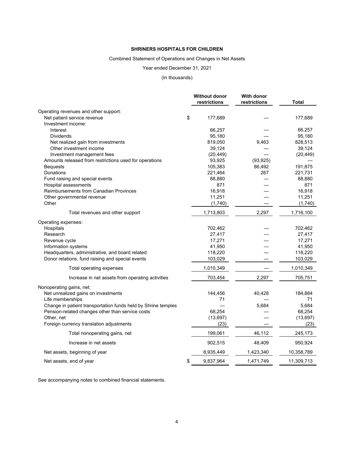## Combined Statement of Operations and Changes in Net Assets

#### Year ended December 31, 2021

## (In thousands)

|                                                               | <b>Without donor</b> | With donor   |            |
|---------------------------------------------------------------|----------------------|--------------|------------|
|                                                               | restrictions         | restrictions | Total      |
| Operating revenues and other support:                         |                      |              |            |
| Net patient service revenue                                   | \$<br>177,689        |              | 177,689    |
| Investment income:                                            |                      |              |            |
| Interest                                                      | 66,257               |              | 66,257     |
| Dividends                                                     | 95,180               |              | 95,180     |
| Net realized gain from investments                            | 819,050              | 9,463        | 828,513    |
| Other investment income                                       | 39,124               |              | 39,124     |
| Investment management fees                                    | (20, 449)            |              | (20, 449)  |
| Amounts released from restrictions used for operations        | 93,925               | (93, 925)    |            |
| <b>Bequests</b>                                               | 105,383              | 86,492       | 191,875    |
| Donations                                                     | 221,464              | 267          | 221,731    |
| Fund raising and special events                               | 88,880               |              | 88,880     |
| Hospital assessments                                          | 871                  |              | 871        |
| <b>Reimbursements from Canadian Provinces</b>                 | 16,918               |              | 16,918     |
| Other governmental revenue                                    | 11,251               |              | 11,251     |
| Other                                                         | (1,740)              |              | (1,740)    |
| Total revenues and other support                              | 1,713,803            | 2,297        | 1,716,100  |
| Operating expenses:                                           |                      |              |            |
| Hospitals                                                     | 702,462              |              | 702,462    |
| Research                                                      | 27,417               |              | 27,417     |
| Revenue cycle                                                 | 17,271               |              | 17,271     |
| Information systems                                           | 41,950               |              | 41,950     |
| Headquarters, administrative, and board related               | 118,220              |              | 118,220    |
| Donor relations, fund raising and special events              | 103,029              |              | 103,029    |
| Total operating expenses                                      | 1,010,349            |              | 1,010,349  |
| Increase in net assets from operating activities              | 703,454              | 2,297        | 705,751    |
| Nonoperating gains, net:                                      |                      |              |            |
| Net unrealized gains on investments                           | 144,456              | 40,428       | 184,884    |
| Life memberships                                              | 71                   |              | 71         |
| Change in patient transportation funds held by Shrine temples |                      | 5,684        | 5,684      |
| Pension-related changes other than service costs              | 68,254               |              | 68,254     |
| Other, net                                                    | (13, 697)            |              | (13, 697)  |
| Foreign currency translation adjustments                      | (23)                 |              | (23)       |
| Total nonoperating gains, net                                 | 199,061              | 46,112       | 245,173    |
| Increase in net assets                                        | 902,515              | 48,409       | 950,924    |
| Net assets, beginning of year                                 | 8,935,449            | 1,423,340    | 10,358,789 |
| Net assets, end of year                                       | \$<br>9,837,964      | 1,471,749    | 11,309,713 |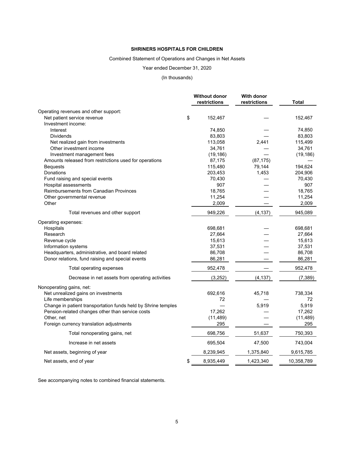## Combined Statement of Operations and Changes in Net Assets

#### Year ended December 31, 2020

#### (In thousands)

|                                                               | <b>Without donor</b> | With donor   |            |
|---------------------------------------------------------------|----------------------|--------------|------------|
|                                                               | restrictions         | restrictions | Total      |
| Operating revenues and other support:                         |                      |              |            |
| Net patient service revenue                                   | \$<br>152,467        |              | 152,467    |
| Investment income:                                            |                      |              |            |
| Interest                                                      | 74,850               |              | 74,850     |
| <b>Dividends</b>                                              | 83,803               |              | 83,803     |
| Net realized gain from investments                            | 113,058              | 2,441        | 115,499    |
| Other investment income                                       | 34,761               |              | 34,761     |
| Investment management fees                                    | (19, 186)            |              | (19, 186)  |
| Amounts released from restrictions used for operations        | 87,175               | (87, 175)    |            |
| <b>Bequests</b>                                               | 115,480              | 79,144       | 194,624    |
| Donations                                                     | 203,453              | 1,453        | 204,906    |
| Fund raising and special events                               | 70,430               |              | 70,430     |
| Hospital assessments                                          | 907                  |              | 907        |
| Reimbursements from Canadian Provinces                        | 18,765               |              | 18,765     |
| Other governmental revenue                                    | 11,254               |              | 11,254     |
| Other                                                         | 2,009                |              | 2,009      |
| Total revenues and other support                              | 949,226              | (4, 137)     | 945,089    |
| Operating expenses:                                           |                      |              |            |
| Hospitals                                                     | 698,681              |              | 698,681    |
| Research                                                      | 27,664               |              | 27,664     |
| Revenue cycle                                                 | 15,613               |              | 15,613     |
| Information systems                                           | 37,531               |              | 37,531     |
| Headquarters, administrative, and board related               | 86,708               |              | 86,708     |
| Donor relations, fund raising and special events              | 86,281               |              | 86,281     |
| Total operating expenses                                      | 952,478              |              | 952,478    |
| Decrease in net assets from operating activities              | (3,252)              | (4, 137)     | (7, 389)   |
| Nonoperating gains, net:                                      |                      |              |            |
| Net unrealized gains on investments                           | 692,616              | 45,718       | 738,334    |
| Life memberships                                              | 72                   |              | 72         |
| Change in patient transportation funds held by Shrine temples |                      | 5,919        | 5,919      |
| Pension-related changes other than service costs              | 17,262               |              | 17,262     |
| Other, net                                                    | (11, 489)            |              | (11, 489)  |
| Foreign currency translation adjustments                      | 295                  |              | 295        |
| Total nonoperating gains, net                                 | 698,756              | 51,637       | 750,393    |
| Increase in net assets                                        | 695,504              | 47,500       | 743,004    |
| Net assets, beginning of year                                 | 8,239,945            | 1,375,840    | 9,615,785  |
| Net assets, end of year                                       | \$<br>8,935,449      | 1,423,340    | 10,358,789 |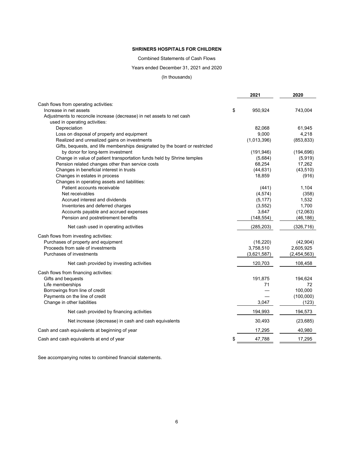Combined Statements of Cash Flows

Years ended December 31, 2021 and 2020

(In thousands)

|                                                                             | 2021          | 2020        |
|-----------------------------------------------------------------------------|---------------|-------------|
| Cash flows from operating activities:                                       |               |             |
| Increase in net assets                                                      | \$<br>950,924 | 743,004     |
| Adjustments to reconcile increase (decrease) in net assets to net cash      |               |             |
| used in operating activities:                                               |               |             |
| Depreciation                                                                | 82,068        | 61,945      |
| Loss on disposal of property and equipment                                  | 9,000         | 4,218       |
| Realized and unrealized gains on investments                                | (1,013,396)   | (853, 833)  |
| Gifts, bequests, and life memberships designated by the board or restricted |               |             |
| by donor for long-term investment                                           | (191, 946)    | (194, 696)  |
| Change in value of patient transportation funds held by Shrine temples      | (5,684)       | (5,919)     |
| Pension related changes other than service costs                            | 68,254        | 17,262      |
| Changes in beneficial interest in trusts                                    | (44, 631)     | (43, 510)   |
| Changes in estates in process                                               | 18,859        | (916)       |
| Changes in operating assets and liabilities:                                |               |             |
| Patient accounts receivable                                                 | (441)         | 1,104       |
| Net receivables                                                             | (4, 574)      | (358)       |
| Accrued interest and dividends                                              | (5, 177)      | 1,532       |
| Inventories and deferred charges                                            | (3, 552)      | 1,700       |
| Accounts payable and accrued expenses                                       | 3,647         | (12,063)    |
| Pension and postretirement benefits                                         | (148, 554)    | (46, 186)   |
| Net cash used in operating activities                                       | (285, 203)    | (326, 716)  |
| Cash flows from investing activities:                                       |               |             |
| Purchases of property and equipment                                         | (16, 220)     | (42, 904)   |
| Proceeds from sale of investments                                           | 3,758,510     | 2,605,925   |
| Purchases of investments                                                    | (3,621,587)   | (2,454,563) |
| Net cash provided by investing activities                                   | 120,703       | 108,458     |
| Cash flows from financing activities:                                       |               |             |
| Gifts and bequests                                                          | 191,875       | 194,624     |
| Life memberships                                                            | 71            | 72          |
| Borrowings from line of credit                                              |               | 100,000     |
| Payments on the line of credit                                              |               | (100,000)   |
| Change in other liabilities                                                 | 3,047         | (123)       |
| Net cash provided by financing activities                                   | 194,993       | 194,573     |
| Net increase (decrease) in cash and cash equivalents                        | 30,493        | (23, 685)   |
| Cash and cash equivalents at beginning of year                              | 17,295        | 40,980      |
|                                                                             |               |             |
| Cash and cash equivalents at end of year                                    | \$<br>47,788  | 17,295      |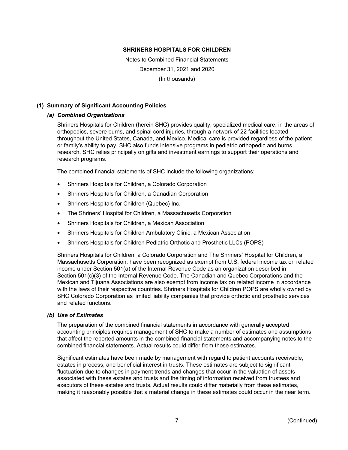Notes to Combined Financial Statements December 31, 2021 and 2020 (In thousands)

## **(1) Summary of Significant Accounting Policies**

## *(a) Combined Organizations*

Shriners Hospitals for Children (herein SHC) provides quality, specialized medical care, in the areas of orthopedics, severe burns, and spinal cord injuries, through a network of 22 facilities located throughout the United States, Canada, and Mexico. Medical care is provided regardless of the patient or family's ability to pay. SHC also funds intensive programs in pediatric orthopedic and burns research. SHC relies principally on gifts and investment earnings to support their operations and research programs.

The combined financial statements of SHC include the following organizations:

- Shriners Hospitals for Children, a Colorado Corporation
- Shriners Hospitals for Children, a Canadian Corporation
- Shriners Hospitals for Children (Quebec) Inc.
- The Shriners' Hospital for Children, a Massachusetts Corporation
- Shriners Hospitals for Children, a Mexican Association
- Shriners Hospitals for Children Ambulatory Clinic, a Mexican Association
- Shriners Hospitals for Children Pediatric Orthotic and Prosthetic LLCs (POPS)

Shriners Hospitals for Children, a Colorado Corporation and The Shriners' Hospital for Children, a Massachusetts Corporation, have been recognized as exempt from U.S. federal income tax on related income under Section 501(a) of the Internal Revenue Code as an organization described in Section 501(c)(3) of the Internal Revenue Code. The Canadian and Quebec Corporations and the Mexican and Tijuana Associations are also exempt from income tax on related income in accordance with the laws of their respective countries. Shriners Hospitals for Children POPS are wholly owned by SHC Colorado Corporation as limited liability companies that provide orthotic and prosthetic services and related functions.

#### *(b) Use of Estimates*

The preparation of the combined financial statements in accordance with generally accepted accounting principles requires management of SHC to make a number of estimates and assumptions that affect the reported amounts in the combined financial statements and accompanying notes to the combined financial statements. Actual results could differ from those estimates.

Significant estimates have been made by management with regard to patient accounts receivable, estates in process, and beneficial interest in trusts. These estimates are subject to significant fluctuation due to changes in payment trends and changes that occur in the valuation of assets associated with these estates and trusts and the timing of information received from trustees and executors of these estates and trusts. Actual results could differ materially from these estimates, making it reasonably possible that a material change in these estimates could occur in the near term.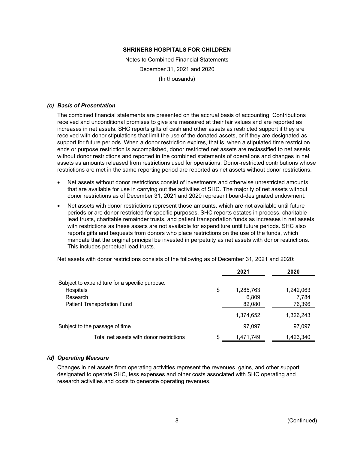Notes to Combined Financial Statements December 31, 2021 and 2020 (In thousands)

#### *(c) Basis of Presentation*

The combined financial statements are presented on the accrual basis of accounting. Contributions received and unconditional promises to give are measured at their fair values and are reported as increases in net assets. SHC reports gifts of cash and other assets as restricted support if they are received with donor stipulations that limit the use of the donated assets, or if they are designated as support for future periods. When a donor restriction expires, that is, when a stipulated time restriction ends or purpose restriction is accomplished, donor restricted net assets are reclassified to net assets without donor restrictions and reported in the combined statements of operations and changes in net assets as amounts released from restrictions used for operations. Donor-restricted contributions whose restrictions are met in the same reporting period are reported as net assets without donor restrictions.

- Net assets without donor restrictions consist of investments and otherwise unrestricted amounts that are available for use in carrying out the activities of SHC. The majority of net assets without donor restrictions as of December 31, 2021 and 2020 represent board-designated endowment.
- Net assets with donor restrictions represent those amounts, which are not available until future periods or are donor restricted for specific purposes. SHC reports estates in process, charitable lead trusts, charitable remainder trusts, and patient transportation funds as increases in net assets with restrictions as these assets are not available for expenditure until future periods. SHC also reports gifts and bequests from donors who place restrictions on the use of the funds, which mandate that the original principal be invested in perpetuity as net assets with donor restrictions. This includes perpetual lead trusts.

Net assets with donor restrictions consists of the following as of December 31, 2021 and 2020:

|                                                | 2021            | 2020      |
|------------------------------------------------|-----------------|-----------|
| Subject to expenditure for a specific purpose: |                 |           |
| Hospitals                                      | \$<br>1,285,763 | 1,242,063 |
| Research                                       | 6,809           | 7,784     |
| <b>Patient Transportation Fund</b>             | 82,080          | 76,396    |
|                                                | 1,374,652       | 1,326,243 |
| Subject to the passage of time                 | 97,097          | 97,097    |
| Total net assets with donor restrictions       | \$<br>1,471,749 | 1,423,340 |

## *(d) Operating Measure*

Changes in net assets from operating activities represent the revenues, gains, and other support designated to operate SHC, less expenses and other costs associated with SHC operating and research activities and costs to generate operating revenues.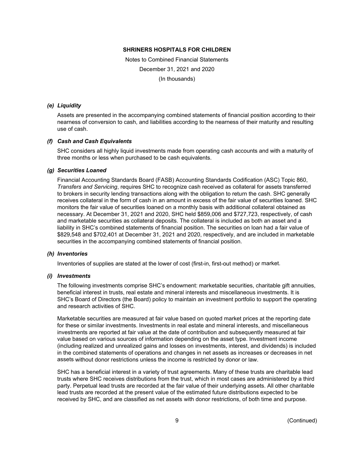Notes to Combined Financial Statements December 31, 2021 and 2020 (In thousands)

## *(e) Liquidity*

Assets are presented in the accompanying combined statements of financial position according to their nearness of conversion to cash, and liabilities according to the nearness of their maturity and resulting use of cash.

## *(f) Cash and Cash Equivalents*

SHC considers all highly liquid investments made from operating cash accounts and with a maturity of three months or less when purchased to be cash equivalents.

## *(g) Securities Loaned*

Financial Accounting Standards Board (FASB) Accounting Standards Codification (ASC) Topic 860, *Transfers and Servicing*, requires SHC to recognize cash received as collateral for assets transferred to brokers in security lending transactions along with the obligation to return the cash. SHC generally receives collateral in the form of cash in an amount in excess of the fair value of securities loaned. SHC monitors the fair value of securities loaned on a monthly basis with additional collateral obtained as necessary. At December 31, 2021 and 2020, SHC held \$859,006 and \$727,723, respectively, of cash and marketable securities as collateral deposits. The collateral is included as both an asset and a liability in SHC's combined statements of financial position. The securities on loan had a fair value of \$829,548 and \$702,401 at December 31, 2021 and 2020, respectively, and are included in marketable securities in the accompanying combined statements of financial position.

#### *(h) Inventories*

Inventories of supplies are stated at the lower of cost (first-in, first-out method) or market.

#### *(i) Investments*

The following investments comprise SHC's endowment: marketable securities, charitable gift annuities, beneficial interest in trusts, real estate and mineral interests and miscellaneous investments. It is SHC's Board of Directors (the Board) policy to maintain an investment portfolio to support the operating and research activities of SHC.

Marketable securities are measured at fair value based on quoted market prices at the reporting date for these or similar investments. Investments in real estate and mineral interests, and miscellaneous investments are reported at fair value at the date of contribution and subsequently measured at fair value based on various sources of information depending on the asset type. Investment income (including realized and unrealized gains and losses on investments, interest, and dividends) is included in the combined statements of operations and changes in net assets as increases or decreases in net assets without donor restrictions unless the income is restricted by donor or law.

SHC has a beneficial interest in a variety of trust agreements. Many of these trusts are charitable lead trusts where SHC receives distributions from the trust, which in most cases are administered by a third party. Perpetual lead trusts are recorded at the fair value of their underlying assets. All other charitable lead trusts are recorded at the present value of the estimated future distributions expected to be received by SHC, and are classified as net assets with donor restrictions, of both time and purpose.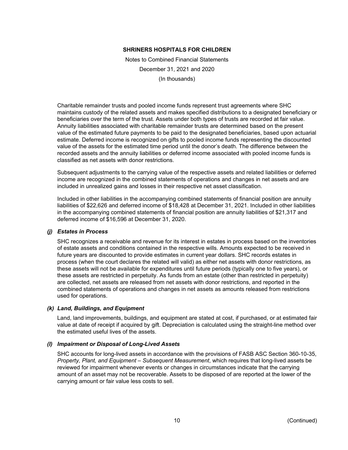Notes to Combined Financial Statements December 31, 2021 and 2020 (In thousands)

Charitable remainder trusts and pooled income funds represent trust agreements where SHC maintains custody of the related assets and makes specified distributions to a designated beneficiary or beneficiaries over the term of the trust. Assets under both types of trusts are recorded at fair value. Annuity liabilities associated with charitable remainder trusts are determined based on the present value of the estimated future payments to be paid to the designated beneficiaries, based upon actuarial estimate. Deferred income is recognized on gifts to pooled income funds representing the discounted value of the assets for the estimated time period until the donor's death. The difference between the recorded assets and the annuity liabilities or deferred income associated with pooled income funds is classified as net assets with donor restrictions.

Subsequent adjustments to the carrying value of the respective assets and related liabilities or deferred income are recognized in the combined statements of operations and changes in net assets and are included in unrealized gains and losses in their respective net asset classification.

Included in other liabilities in the accompanying combined statements of financial position are annuity liabilities of \$22,626 and deferred income of \$18,428 at December 31, 2021. Included in other liabilities in the accompanying combined statements of financial position are annuity liabilities of \$21,317 and deferred income of \$16,596 at December 31, 2020.

## *(j) Estates in Process*

SHC recognizes a receivable and revenue for its interest in estates in process based on the inventories of estate assets and conditions contained in the respective wills. Amounts expected to be received in future years are discounted to provide estimates in current year dollars. SHC records estates in process (when the court declares the related will valid) as either net assets with donor restrictions, as these assets will not be available for expenditures until future periods (typically one to five years), or these assets are restricted in perpetuity. As funds from an estate (other than restricted in perpetuity) are collected, net assets are released from net assets with donor restrictions, and reported in the combined statements of operations and changes in net assets as amounts released from restrictions used for operations.

## *(k) Land, Buildings, and Equipment*

Land, land improvements, buildings, and equipment are stated at cost, if purchased, or at estimated fair value at date of receipt if acquired by gift. Depreciation is calculated using the straight-line method over the estimated useful lives of the assets.

#### *(l) Impairment or Disposal of Long-Lived Assets*

SHC accounts for long-lived assets in accordance with the provisions of FASB ASC Section 360-10-35, *Property, Plant, and Equipment – Subsequent Measurement*, which requires that long-lived assets be reviewed for impairment whenever events or changes in circumstances indicate that the carrying amount of an asset may not be recoverable. Assets to be disposed of are reported at the lower of the carrying amount or fair value less costs to sell.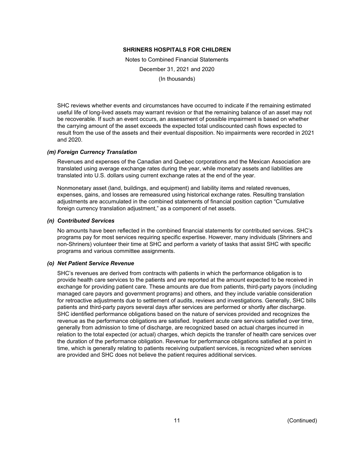Notes to Combined Financial Statements December 31, 2021 and 2020 (In thousands)

SHC reviews whether events and circumstances have occurred to indicate if the remaining estimated useful life of long-lived assets may warrant revision or that the remaining balance of an asset may not be recoverable. If such an event occurs, an assessment of possible impairment is based on whether the carrying amount of the asset exceeds the expected total undiscounted cash flows expected to result from the use of the assets and their eventual disposition. No impairments were recorded in 2021 and 2020.

## *(m) Foreign Currency Translation*

Revenues and expenses of the Canadian and Quebec corporations and the Mexican Association are translated using average exchange rates during the year, while monetary assets and liabilities are translated into U.S. dollars using current exchange rates at the end of the year.

Nonmonetary asset (land, buildings, and equipment) and liability items and related revenues, expenses, gains, and losses are remeasured using historical exchange rates. Resulting translation adjustments are accumulated in the combined statements of financial position caption "Cumulative foreign currency translation adjustment," as a component of net assets.

## *(n) Contributed Services*

No amounts have been reflected in the combined financial statements for contributed services. SHC's programs pay for most services requiring specific expertise. However, many individuals (Shriners and non-Shriners) volunteer their time at SHC and perform a variety of tasks that assist SHC with specific programs and various committee assignments.

#### *(o) Net Patient Service Revenue*

SHC's revenues are derived from contracts with patients in which the performance obligation is to provide health care services to the patients and are reported at the amount expected to be received in exchange for providing patient care. These amounts are due from patients, third-party payors (including managed care payors and government programs) and others, and they include variable consideration for retroactive adjustments due to settlement of audits, reviews and investigations. Generally, SHC bills patients and third-party payors several days after services are performed or shortly after discharge. SHC identified performance obligations based on the nature of services provided and recognizes the revenue as the performance obligations are satisfied. Inpatient acute care services satisfied over time, generally from admission to time of discharge, are recognized based on actual charges incurred in relation to the total expected (or actual) charges, which depicts the transfer of health care services over the duration of the performance obligation. Revenue for performance obligations satisfied at a point in time, which is generally relating to patients receiving outpatient services, is recognized when services are provided and SHC does not believe the patient requires additional services.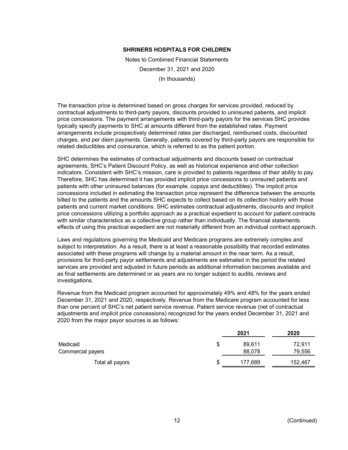Notes to Combined Financial Statements December 31, 2021 and 2020 (In thousands)

The transaction price is determined based on gross charges for services provided, reduced by contractual adjustments to third-party payors, discounts provided to uninsured patients, and implicit price concessions. The payment arrangements with third-party payors for the services SHC provides typically specify payments to SHC at amounts different from the established rates. Payment arrangements include prospectively determined rates per discharged, reimbursed costs, discounted charges, and per diem payments. Generally, patients covered by third-party payors are responsible for related deductibles and coinsurance, which is referred to as the patient portion.

SHC determines the estimates of contractual adjustments and discounts based on contractual agreements, SHC's Patient Discount Policy, as well as historical experience and other collection indicators. Consistent with SHC's mission, care is provided to patients regardless of their ability to pay. Therefore, SHC has determined it has provided implicit price concessions to uninsured patients and patients with other uninsured balances (for example, copays and deductibles). The implicit price concessions included in estimating the transaction price represent the difference between the amounts billed to the patients and the amounts SHC expects to collect based on its collection history with those patients and current market conditions. SHC estimates contractual adjustments, discounts and implicit price concessions utilizing a portfolio approach as a practical expedient to account for patient contracts with similar characteristics as a collective group rather than individually. The financial statements effects of using this practical expedient are not materially different from an individual contract approach.

Laws and regulations governing the Medicaid and Medicare programs are extremely complex and subject to interpretation. As a result, there is at least a reasonable possibility that recorded estimates associated with these programs will change by a material amount in the near term. As a result, provisions for third-party payor settlements and adjustments are estimated in the period the related services are provided and adjusted in future periods as additional information becomes available and as final settlements are determined or as years are no longer subject to audits, reviews and investigations.

Revenue from the Medicaid program accounted for approximately 49% and 48% for the years ended December 31, 2021 and 2020, respectively. Revenue from the Medicare program accounted for less than one percent of SHC's net patient service revenue. Patient service revenue (net of contractual adjustments and implicit price concessions) recognized for the years ended December 31, 2021 and 2020 from the major payor sources is as follows:

|                   |    | 2021    | 2020    |
|-------------------|----|---------|---------|
| Medicaid          | S  | 89.611  | 72.911  |
| Commercial payers |    | 88.078  | 79,556  |
| Total all payors  | \$ | 177.689 | 152,467 |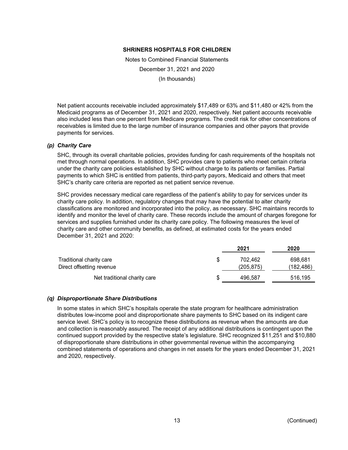Notes to Combined Financial Statements December 31, 2021 and 2020 (In thousands)

Net patient accounts receivable included approximately \$17,489 or 63% and \$11,480 or 42% from the Medicaid programs as of December 31, 2021 and 2020, respectively. Net patient accounts receivable also included less than one percent from Medicare programs. The credit risk for other concentrations of receivables is limited due to the large number of insurance companies and other payors that provide payments for services.

#### *(p) Charity Care*

SHC, through its overall charitable policies, provides funding for cash requirements of the hospitals not met through normal operations. In addition, SHC provides care to patients who meet certain criteria under the charity care policies established by SHC without charge to its patients or families. Partial payments to which SHC is entitled from patients, third-party payors, Medicaid and others that meet SHC's charity care criteria are reported as net patient service revenue.

SHC provides necessary medical care regardless of the patient's ability to pay for services under its charity care policy. In addition, regulatory changes that may have the potential to alter charity classifications are monitored and incorporated into the policy, as necessary. SHC maintains records to identify and monitor the level of charity care. These records include the amount of charges foregone for services and supplies furnished under its charity care policy. The following measures the level of charity care and other community benefits, as defined, at estimated costs for the years ended December 31, 2021 and 2020:

|                                                       |   | 2021                  | 2020                  |
|-------------------------------------------------------|---|-----------------------|-----------------------|
| Traditional charity care<br>Direct offsetting revenue | S | 702.462<br>(205, 875) | 698.681<br>(182, 486) |
| Net traditional charity care                          | S | 496,587               | 516,195               |

#### *(q) Disproportionate Share Distributions*

In some states in which SHC's hospitals operate the state program for healthcare administration distributes low-income pool and disproportionate share payments to SHC based on its indigent care service level. SHC's policy is to recognize these distributions as revenue when the amounts are due and collection is reasonably assured. The receipt of any additional distributions is contingent upon the continued support provided by the respective state's legislature. SHC recognized \$11,251 and \$10,880 of disproportionate share distributions in other governmental revenue within the accompanying combined statements of operations and changes in net assets for the years ended December 31, 2021 and 2020, respectively.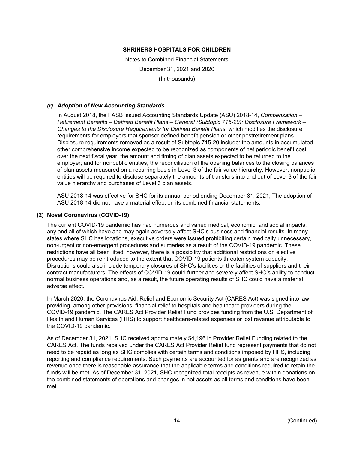Notes to Combined Financial Statements December 31, 2021 and 2020 (In thousands)

## *(r) Adoption of New Accounting Standards*

In August 2018, the FASB issued Accounting Standards Update (ASU) 2018-14, *Compensation – Retirement Benefits – Defined Benefit Plans – General (Subtopic 715-20): Disclosure Framework – Changes to the Disclosure Requirements for Defined Benefit Plans*, which modifies the disclosure requirements for employers that sponsor defined benefit pension or other postretirement plans. Disclosure requirements removed as a result of Subtopic 715-20 include: the amounts in accumulated other comprehensive income expected to be recognized as components of net periodic benefit cost over the next fiscal year; the amount and timing of plan assets expected to be returned to the employer; and for nonpublic entities, the reconciliation of the opening balances to the closing balances of plan assets measured on a recurring basis in Level 3 of the fair value hierarchy. However, nonpublic entities will be required to disclose separately the amounts of transfers into and out of Level 3 of the fair value hierarchy and purchases of Level 3 plan assets.

ASU 2018-14 was effective for SHC for its annual period ending December 31, 2021, The adoption of ASU 2018-14 did not have a material effect on its combined financial statements.

## **(2) Novel Coronavirus (COVID-19)**

The current COVID-19 pandemic has had numerous and varied medical, economic, and social impacts, any and all of which have and may again adversely affect SHC's business and financial results. In many states where SHC has locations, executive orders were issued prohibiting certain medically unnecessary, non-urgent or non-emergent procedures and surgeries as a result of the COVID-19 pandemic. These restrictions have all been lifted, however, there is a possibility that additional restrictions on elective procedures may be reintroduced to the extent that COVID-19 patients threaten system capacity. Disruptions could also include temporary closures of SHC's facilities or the facilities of suppliers and their contract manufacturers. The effects of COVID-19 could further and severely affect SHC's ability to conduct normal business operations and, as a result, the future operating results of SHC could have a material adverse effect.

In March 2020, the Coronavirus Aid, Relief and Economic Security Act (CARES Act) was signed into law providing, among other provisions, financial relief to hospitals and healthcare providers during the COVID-19 pandemic. The CARES Act Provider Relief Fund provides funding from the U.S. Department of Health and Human Services (HHS) to support healthcare-related expenses or lost revenue attributable to the COVID-19 pandemic.

As of December 31, 2021, SHC received approximately \$4,196 in Provider Relief Funding related to the CARES Act. The funds received under the CARES Act Provider Relief fund represent payments that do not need to be repaid as long as SHC complies with certain terms and conditions imposed by HHS, including reporting and compliance requirements. Such payments are accounted for as grants and are recognized as revenue once there is reasonable assurance that the applicable terms and conditions required to retain the funds will be met. As of December 31, 2021, SHC recognized total receipts as revenue within donations on the combined statements of operations and changes in net assets as all terms and conditions have been met.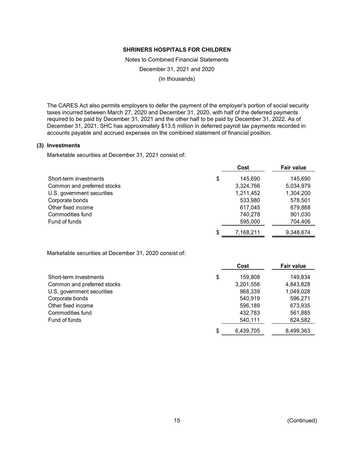Notes to Combined Financial Statements December 31, 2021 and 2020 (In thousands)

The CARES Act also permits employers to defer the payment of the employer's portion of social security taxes incurred between March 27, 2020 and December 31, 2020, with half of the deferred payments required to be paid by December 31, 2021 and the other half to be paid by December 31, 2022. As of December 31, 2021, SHC has approximately \$13.5 million in deferred payroll tax payments recorded in accounts payable and accrued expenses on the combined statement of financial position.

#### **(3) Investments**

Marketable securities at December 31, 2021 consist of:

|                             | Cost            | <b>Fair value</b> |
|-----------------------------|-----------------|-------------------|
| Short-term investments      | \$<br>145.690   | 145,690           |
| Common and preferred stocks | 3,324,766       | 5,034,979         |
| U.S. government securities  | 1,211,452       | 1,304,200         |
| Corporate bonds             | 533,980         | 578,501           |
| Other fixed income          | 617,045         | 679,868           |
| Commodities fund            | 740,278         | 901,030           |
| Fund of funds               | 595,000         | 704,406           |
|                             | \$<br>7,168,211 | 9,348,674         |

Marketable securities at December 31, 2020 consist of:

|                             |    | Cost      | Fair value |
|-----------------------------|----|-----------|------------|
| Short-term investments      | \$ | 159,808   | 149,834    |
| Common and preferred stocks |    | 3,201,556 | 4,843,828  |
| U.S. government securities  |    | 968,339   | 1,049,028  |
| Corporate bonds             |    | 540,919   | 596,271    |
| Other fixed income          |    | 596,189   | 673,935    |
| Commodities fund            |    | 432,783   | 561,885    |
| Fund of funds               |    | 540,111   | 624,582    |
|                             | S  | 6,439,705 | 8,499,363  |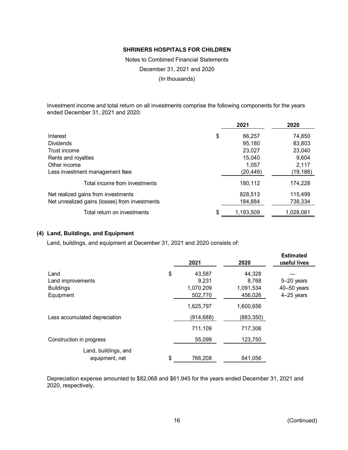Notes to Combined Financial Statements December 31, 2021 and 2020 (In thousands)

Investment income and total return on all investments comprise the following components for the years ended December 31, 2021 and 2020:

|                                                | 2021            | 2020      |
|------------------------------------------------|-----------------|-----------|
| Interest                                       | \$<br>66,257    | 74,850    |
| <b>Dividends</b>                               | 95,180          | 83,803    |
| Trust income                                   | 23,027          | 23,040    |
| Rents and royalties                            | 15,040          | 9,604     |
| Other income                                   | 1.057           | 2,117     |
| Less investment management fees                | (20, 449)       | (19,186)  |
| Total income from investments                  | 180,112         | 174,228   |
| Net realized gains from investments            | 828,513         | 115,499   |
| Net unrealized gains (losses) from investments | 184,884         | 738,334   |
| Total return on investments                    | \$<br>1,193,509 | 1,028,061 |

## **(4) Land, Buildings, and Equipment**

Land, buildings, and equipment at December 31, 2021 and 2020 consists of:

|                                                            | 2021                                          | 2020                                    | <b>Estimated</b><br>useful lives                |
|------------------------------------------------------------|-----------------------------------------------|-----------------------------------------|-------------------------------------------------|
| Land<br>Land improvements<br><b>Buildings</b><br>Equipment | \$<br>43,587<br>9.231<br>1,070,209<br>502,770 | 44,328<br>8,768<br>1,091,534<br>456,026 | $5-20$ years<br>$40 - 50$ years<br>$4-25$ years |
|                                                            | 1,625,797                                     | 1,600,656                               |                                                 |
| Less accumulated depreciation                              | (914,688)                                     | (883, 350)                              |                                                 |
|                                                            | 711,109                                       | 717,306                                 |                                                 |
| Construction in progress                                   | 55,099                                        | 123,750                                 |                                                 |
| Land, buildings, and<br>equipment, net                     | \$<br>766,208                                 | 841,056                                 |                                                 |

Depreciation expense amounted to \$82,068 and \$61,945 for the years ended December 31, 2021 and 2020, respectively.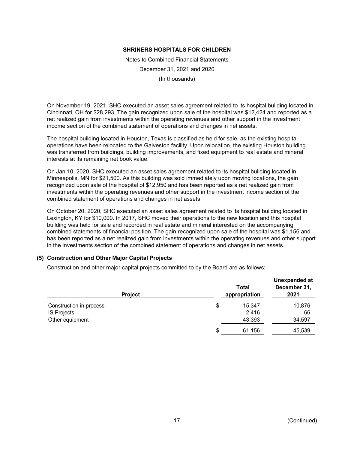Notes to Combined Financial Statements December 31, 2021 and 2020 (In thousands)

On November 19, 2021, SHC executed an asset sales agreement related to its hospital building located in Cincinnati, OH for \$28,293. The gain recognized upon sale of the hospital was \$12,424 and reported as a net realized gain from investments within the operating revenues and other support in the investment income section of the combined statement of operations and changes in net assets.

The hospital building located in Houston, Texas is classified as held for sale, as the existing hospital operations have been relocated to the Galveston facility. Upon relocation, the existing Houston building was transferred from buildings, building improvements, and fixed equipment to real estate and mineral interests at its remaining net book value.

On Jan 10, 2020, SHC executed an asset sales agreement related to its hospital building located in Minneapolis, MN for \$21,500. As this building was sold immediately upon moving locations, the gain recognized upon sale of the hospital of \$12,950 and has been reported as a net realized gain from investments within the operating revenues and other support in the investment income section of the combined statement of operations and changes in net assets.

On October 20, 2020, SHC executed an asset sales agreement related to its hospital building located in Lexington, KY for \$10,000. In 2017, SHC moved their operations to the new location and this hospital building was held for sale and recorded in real estate and mineral interested on the accompanying combined statements of financial position. The gain recognized upon sale of the hospital was \$1,156 and has been reported as a net realized gain from investments within the operating revenues and other support in the investments section of the combined statement of operations and changes in net assets.

# **(5) Construction and Other Major Capital Projects**

Construction and other major capital projects committed to by the Board are as follows:

| <b>Project</b>          | Total<br>appropriation | Unexpended at<br>December 31,<br>2021 |
|-------------------------|------------------------|---------------------------------------|
| Construction in process | \$<br>15,347           | 10,876                                |
| IS Projects             | 2,416                  | 66                                    |
| Other equipment         | 43,393                 | 34,597                                |
|                         | \$<br>61,156           | 45,539                                |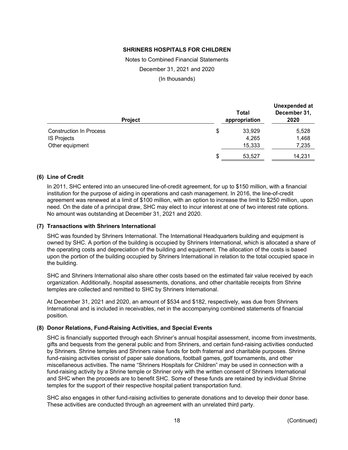Notes to Combined Financial Statements December 31, 2021 and 2020 (In thousands)

| <b>Project</b>                 | Total<br>appropriation | Unexpended at<br>December 31,<br>2020 |
|--------------------------------|------------------------|---------------------------------------|
| <b>Construction In Process</b> | \$<br>33,929           | 5,528                                 |
| IS Projects                    | 4,265                  | 1,468                                 |
| Other equipment                | 15,333                 | 7,235                                 |
|                                | \$<br>53,527           | 14.231                                |

## **(6) Line of Credit**

In 2011, SHC entered into an unsecured line-of-credit agreement, for up to \$150 million, with a financial institution for the purpose of aiding in operations and cash management. In 2016, the line-of-credit agreement was renewed at a limit of \$100 million, with an option to increase the limit to \$250 million, upon need. On the date of a principal draw, SHC may elect to incur interest at one of two interest rate options. No amount was outstanding at December 31, 2021 and 2020.

#### **(7) Transactions with Shriners International**

SHC was founded by Shriners International. The International Headquarters building and equipment is owned by SHC. A portion of the building is occupied by Shriners International, which is allocated a share of the operating costs and depreciation of the building and equipment. The allocation of the costs is based upon the portion of the building occupied by Shriners International in relation to the total occupied space in the building.

SHC and Shriners International also share other costs based on the estimated fair value received by each organization. Additionally, hospital assessments, donations, and other charitable receipts from Shrine temples are collected and remitted to SHC by Shriners International.

At December 31, 2021 and 2020, an amount of \$534 and \$182, respectively, was due from Shriners International and is included in receivables, net in the accompanying combined statements of financial position.

## **(8) Donor Relations, Fund-Raising Activities, and Special Events**

SHC is financially supported through each Shriner's annual hospital assessment, income from investments, gifts and bequests from the general public and from Shriners, and certain fund-raising activities conducted by Shriners. Shrine temples and Shriners raise funds for both fraternal and charitable purposes. Shrine fund-raising activities consist of paper sale donations, football games, golf tournaments, and other miscellaneous activities. The name "Shriners Hospitals for Children" may be used in connection with a fund-raising activity by a Shrine temple or Shriner only with the written consent of Shriners International and SHC when the proceeds are to benefit SHC. Some of these funds are retained by individual Shrine temples for the support of their respective hospital patient transportation fund.

SHC also engages in other fund-raising activities to generate donations and to develop their donor base. These activities are conducted through an agreement with an unrelated third party.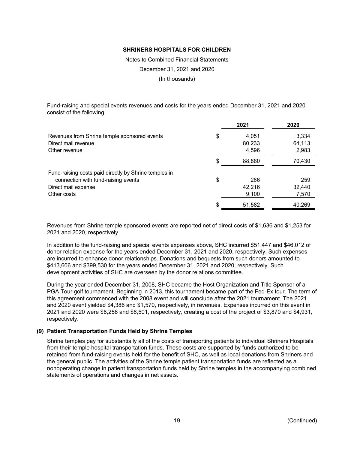Notes to Combined Financial Statements December 31, 2021 and 2020 (In thousands)

Fund-raising and special events revenues and costs for the years ended December 31, 2021 and 2020 consist of the following:

|                                                       | 2021         | 2020   |
|-------------------------------------------------------|--------------|--------|
| Revenues from Shrine temple sponsored events          | \$<br>4.051  | 3,334  |
| Direct mail revenue                                   | 80,233       | 64,113 |
| Other revenue                                         | 4,596        | 2,983  |
|                                                       | 88,880       | 70,430 |
| Fund-raising costs paid directly by Shrine temples in |              |        |
| connection with fund-raising events                   | \$<br>266    | 259    |
| Direct mail expense                                   | 42,216       | 32,440 |
| Other costs                                           | 9,100        | 7,570  |
|                                                       | \$<br>51,582 | 40,269 |

Revenues from Shrine temple sponsored events are reported net of direct costs of \$1,636 and \$1,253 for 2021 and 2020, respectively.

In addition to the fund-raising and special events expenses above, SHC incurred \$51,447 and \$46,012 of donor relation expense for the years ended December 31, 2021 and 2020, respectively. Such expenses are incurred to enhance donor relationships. Donations and bequests from such donors amounted to \$413,606 and \$399,530 for the years ended December 31, 2021 and 2020, respectively. Such development activities of SHC are overseen by the donor relations committee.

During the year ended December 31, 2008, SHC became the Host Organization and Title Sponsor of a PGA Tour golf tournament. Beginning in 2013, this tournament became part of the Fed-Ex tour. The term of this agreement commenced with the 2008 event and will conclude after the 2021 tournament. The 2021 and 2020 event yielded \$4,386 and \$1,570, respectively, in revenues. Expenses incurred on this event in 2021 and 2020 were \$8,256 and \$6,501, respectively, creating a cost of the project of \$3,870 and \$4,931, respectively.

## **(9) Patient Transportation Funds Held by Shrine Temples**

Shrine temples pay for substantially all of the costs of transporting patients to individual Shriners Hospitals from their temple hospital transportation funds. These costs are supported by funds authorized to be retained from fund-raising events held for the benefit of SHC, as well as local donations from Shriners and the general public. The activities of the Shrine temple patient transportation funds are reflected as a nonoperating change in patient transportation funds held by Shrine temples in the accompanying combined statements of operations and changes in net assets.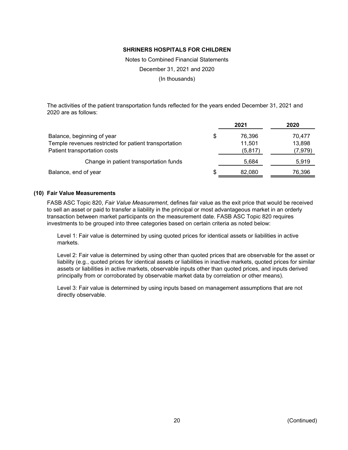Notes to Combined Financial Statements December 31, 2021 and 2020 (In thousands)

The activities of the patient transportation funds reflected for the years ended December 31, 2021 and 2020 are as follows:

|                                                       |   | 2021     | 2020     |
|-------------------------------------------------------|---|----------|----------|
| Balance, beginning of year                            | S | 76.396   | 70.477   |
| Temple revenues restricted for patient transportation |   | 11,501   | 13,898   |
| Patient transportation costs                          |   | (5, 817) | (7, 979) |
| Change in patient transportation funds                |   | 5.684    | 5,919    |
| Balance, end of year                                  | S | 82,080   | 76,396   |

#### **(10) Fair Value Measurements**

FASB ASC Topic 820, *Fair Value Measurement*, defines fair value as the exit price that would be received to sell an asset or paid to transfer a liability in the principal or most advantageous market in an orderly transaction between market participants on the measurement date. FASB ASC Topic 820 requires investments to be grouped into three categories based on certain criteria as noted below:

Level 1: Fair value is determined by using quoted prices for identical assets or liabilities in active markets.

Level 2: Fair value is determined by using other than quoted prices that are observable for the asset or liability (e.g., quoted prices for identical assets or liabilities in inactive markets, quoted prices for similar assets or liabilities in active markets, observable inputs other than quoted prices, and inputs derived principally from or corroborated by observable market data by correlation or other means).

Level 3: Fair value is determined by using inputs based on management assumptions that are not directly observable.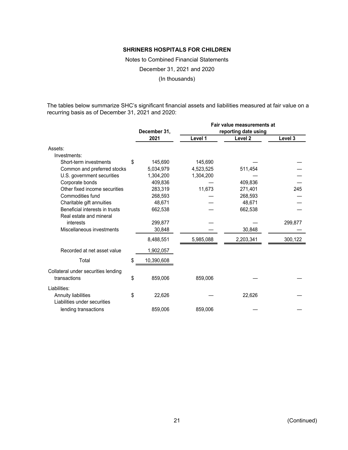Notes to Combined Financial Statements December 31, 2021 and 2020

(In thousands)

The tables below summarize SHC's significant financial assets and liabilities measured at fair value on a recurring basis as of December 31, 2021 and 2020:

|                                     |                  |           | Fair value measurements at |         |
|-------------------------------------|------------------|-----------|----------------------------|---------|
|                                     | December 31,     |           | reporting date using       |         |
|                                     | 2021             | Level 1   | Level 2                    | Level 3 |
| Assets:                             |                  |           |                            |         |
| Investments:                        |                  |           |                            |         |
| Short-term investments              | \$<br>145,690    | 145,690   |                            |         |
| Common and preferred stocks         | 5,034,979        | 4,523,525 | 511,454                    |         |
| U.S. government securities          | 1,304,200        | 1,304,200 |                            |         |
| Corporate bonds                     | 409,836          |           | 409,836                    |         |
| Other fixed income securities       | 283,319          | 11,673    | 271,401                    | 245     |
| Commodities fund                    | 268,593          |           | 268,593                    |         |
| Charitable gift annuities           | 48,671           |           | 48,671                     |         |
| Beneficial interests in trusts      | 662,538          |           | 662,538                    |         |
| Real estate and mineral             |                  |           |                            |         |
| interests                           | 299,877          |           |                            | 299,877 |
| Miscellaneous investments           | 30,848           |           | 30,848                     |         |
|                                     | 8,488,551        | 5,985,088 | 2,203,341                  | 300,122 |
| Recorded at net asset value         | 1,902,057        |           |                            |         |
| Total                               | \$<br>10,390,608 |           |                            |         |
| Collateral under securities lending |                  |           |                            |         |
| transactions                        | \$<br>859,006    | 859,006   |                            |         |
| Liabilities:                        |                  |           |                            |         |
| Annuity liabilities                 | \$<br>22,626     |           | 22,626                     |         |
| Liabilities under securities        |                  |           |                            |         |
| lending transactions                | 859,006          | 859,006   |                            |         |
|                                     |                  |           |                            |         |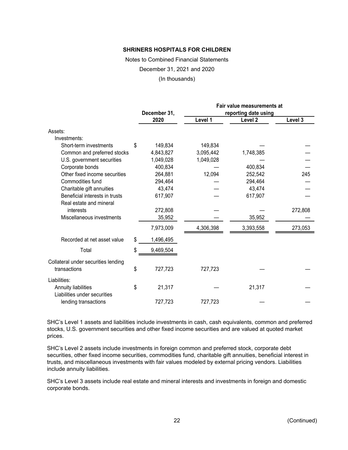Notes to Combined Financial Statements

December 31, 2021 and 2020

(In thousands)

|                                     |                 |           | Fair value measurements at |         |
|-------------------------------------|-----------------|-----------|----------------------------|---------|
|                                     | December 31,    |           | reporting date using       |         |
|                                     | 2020            | Level 1   | Level <sub>2</sub>         | Level 3 |
| Assets:                             |                 |           |                            |         |
| Investments:                        |                 |           |                            |         |
| Short-term investments              | \$<br>149,834   | 149,834   |                            |         |
| Common and preferred stocks         | 4,843,827       | 3,095,442 | 1,748,385                  |         |
| U.S. government securities          | 1,049,028       | 1,049,028 |                            |         |
| Corporate bonds                     | 400,834         |           | 400,834                    |         |
| Other fixed income securities       | 264,881         | 12,094    | 252,542                    | 245     |
| Commodities fund                    | 294,464         |           | 294,464                    |         |
| Charitable gift annuities           | 43,474          |           | 43,474                     |         |
| Beneficial interests in trusts      | 617,907         |           | 617,907                    |         |
| Real estate and mineral             |                 |           |                            |         |
| interests                           | 272,808         |           |                            | 272,808 |
| Miscellaneous investments           | 35,952          |           | 35,952                     |         |
|                                     | 7,973,009       | 4,306,398 | 3,393,558                  | 273,053 |
| Recorded at net asset value         | \$<br>1,496,495 |           |                            |         |
| Total                               | \$<br>9,469,504 |           |                            |         |
| Collateral under securities lending |                 |           |                            |         |
| transactions                        | \$<br>727,723   | 727,723   |                            |         |
| Liabilities:                        |                 |           |                            |         |
| Annuity liabilities                 | \$<br>21,317    |           | 21,317                     |         |
| Liabilities under securities        |                 |           |                            |         |
| lending transactions                | 727,723         | 727,723   |                            |         |

SHC's Level 1 assets and liabilities include investments in cash, cash equivalents, common and preferred stocks, U.S. government securities and other fixed income securities and are valued at quoted market prices.

SHC's Level 2 assets include investments in foreign common and preferred stock, corporate debt securities, other fixed income securities, commodities fund, charitable gift annuities, beneficial interest in trusts, and miscellaneous investments with fair values modeled by external pricing vendors. Liabilities include annuity liabilities.

SHC's Level 3 assets include real estate and mineral interests and investments in foreign and domestic corporate bonds.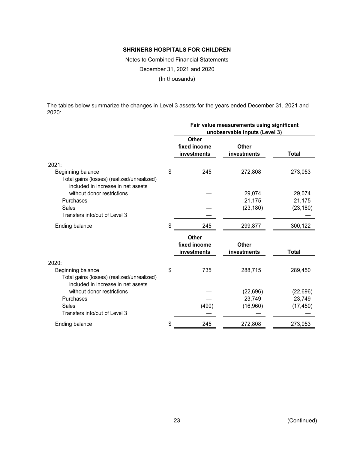Notes to Combined Financial Statements December 31, 2021 and 2020 (In thousands)

The tables below summarize the changes in Level 3 assets for the years ended December 31, 2021 and 2020:

|                                                                                                       | Fair value measurements using significant<br>unobservable inputs (Level 3) |                             |           |  |
|-------------------------------------------------------------------------------------------------------|----------------------------------------------------------------------------|-----------------------------|-----------|--|
|                                                                                                       | Other<br>fixed income<br>investments                                       | <b>Other</b><br>investments | Total     |  |
| 2021:                                                                                                 |                                                                            |                             |           |  |
| Beginning balance<br>Total gains (losses) (realized/unrealized)<br>included in increase in net assets | \$<br>245                                                                  | 272,808                     | 273,053   |  |
| without donor restrictions                                                                            |                                                                            | 29,074                      | 29,074    |  |
| Purchases                                                                                             |                                                                            | 21,175                      | 21,175    |  |
| Sales                                                                                                 |                                                                            | (23, 180)                   | (23, 180) |  |
| Transfers into/out of Level 3                                                                         |                                                                            |                             |           |  |
| Ending balance                                                                                        | \$<br>245                                                                  | 299,877                     | 300,122   |  |
|                                                                                                       | <b>Other</b><br>fixed income<br>investments                                | <b>Other</b><br>investments | Total     |  |
| 2020:                                                                                                 |                                                                            |                             |           |  |
| Beginning balance<br>Total gains (losses) (realized/unrealized)<br>included in increase in net assets | \$<br>735                                                                  | 288,715                     | 289,450   |  |
| without donor restrictions                                                                            |                                                                            | (22, 696)                   | (22, 696) |  |
| Purchases                                                                                             |                                                                            | 23,749                      | 23,749    |  |
| <b>Sales</b><br>Transfers into/out of Level 3                                                         | (490)                                                                      | (16,960)                    | (17, 450) |  |
| Ending balance                                                                                        | \$<br>245                                                                  | 272,808                     | 273,053   |  |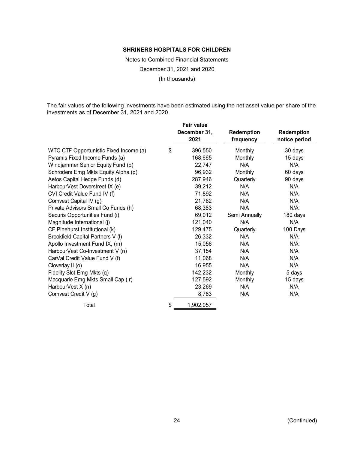Notes to Combined Financial Statements December 31, 2021 and 2020 (In thousands)

The fair values of the following investments have been estimated using the net asset value per share of the investments as of December 31, 2021 and 2020.

| <b>Fair value</b>    |                                |                             |
|----------------------|--------------------------------|-----------------------------|
| December 31,<br>2021 | <b>Redemption</b><br>frequency | Redemption<br>notice period |
| \$<br>396,550        | Monthly                        | 30 days                     |
| 168,665              | Monthly                        | 15 days                     |
| 22,747               | N/A                            | N/A                         |
| 96,932               | Monthly                        | 60 days                     |
| 287,946              | Quarterly                      | 90 days                     |
| 39,212               | N/A                            | N/A                         |
| 71,892               | N/A                            | N/A                         |
| 21,762               | N/A                            | N/A                         |
| 68,383               | N/A                            | N/A                         |
| 69,012               | Semi Annually                  | 180 days                    |
| 121,040              | N/A                            | N/A                         |
| 129,475              | Quarterly                      | 100 Days                    |
| 26,332               | N/A                            | N/A                         |
| 15,056               | N/A                            | N/A                         |
| 37,154               | N/A                            | N/A                         |
| 11,068               | N/A                            | N/A                         |
| 16,955               | N/A                            | N/A                         |
| 142,232              | Monthly                        | 5 days                      |
| 127,592              | Monthly                        | 15 days                     |
| 23,269               | N/A                            | N/A                         |
| 8,783                | N/A                            | N/A                         |
| \$<br>1,902,057      |                                |                             |
|                      |                                |                             |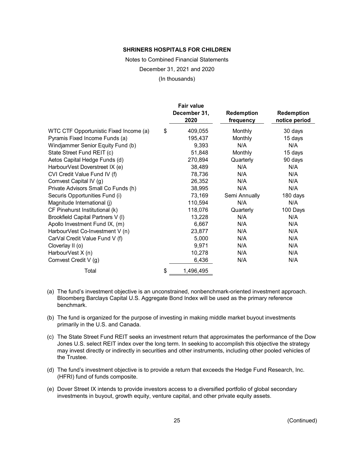Notes to Combined Financial Statements December 31, 2021 and 2020 (In thousands)

|                                        | <b>Fair value</b><br>December 31,<br>2020 | Redemption<br>frequency | Redemption<br>notice period |
|----------------------------------------|-------------------------------------------|-------------------------|-----------------------------|
| WTC CTF Opportunistic Fixed Income (a) | \$<br>409,055                             | Monthly                 | 30 days                     |
| Pyramis Fixed Income Funds (a)         | 195,437                                   | Monthly                 | 15 days                     |
| Windjammer Senior Equity Fund (b)      | 9,393                                     | N/A                     | N/A                         |
| State Street Fund REIT (c)             | 51,848                                    | Monthly                 | 15 days                     |
| Aetos Capital Hedge Funds (d)          | 270,894                                   | Quarterly               | 90 days                     |
| HarbourVest Doverstreet IX (e)         | 38,489                                    | N/A                     | N/A                         |
| CVI Credit Value Fund IV (f)           | 78,736                                    | N/A                     | N/A                         |
| Comvest Capital IV (g)                 | 26,352                                    | N/A                     | N/A                         |
| Private Advisors Small Co Funds (h)    | 38,995                                    | N/A                     | N/A                         |
| Securis Opportunities Fund (i)         | 73,169                                    | Semi Annually           | 180 days                    |
| Magnitude International (j)            | 110,594                                   | N/A                     | N/A                         |
| CF Pinehurst Institutional (k)         | 118,076                                   | Quarterly               | 100 Days                    |
| Brookfield Capital Partners V (I)      | 13,228                                    | N/A                     | N/A                         |
| Apollo Investment Fund IX, (m)         | 6,667                                     | N/A                     | N/A                         |
| HarbourVest Co-Investment V (n)        | 23,877                                    | N/A                     | N/A                         |
| CarVal Credit Value Fund V (f)         | 5,000                                     | N/A                     | N/A                         |
| Cloverlay II (o)                       | 9,971                                     | N/A                     | N/A                         |
| HarbourVest X (n)                      | 10,278                                    | N/A                     | N/A                         |
| Comvest Credit V (g)                   | 6,436                                     | N/A                     | N/A                         |
| Total                                  | \$<br>1,496,495                           |                         |                             |

- (a) The fund's investment objective is an unconstrained, nonbenchmark-oriented investment approach. Bloomberg Barclays Capital U.S. Aggregate Bond Index will be used as the primary reference benchmark.
- (b) The fund is organized for the purpose of investing in making middle market buyout investments primarily in the U.S. and Canada.
- (c) The State Street Fund REIT seeks an investment return that approximates the performance of the Dow Jones U.S. select REIT index over the long term. In seeking to accomplish this objective the strategy may invest directly or indirectly in securities and other instruments, including other pooled vehicles of the Trustee.
- (d) The fund's investment objective is to provide a return that exceeds the Hedge Fund Research, Inc. (HFRI) fund of funds composite.
- (e) Dover Street IX intends to provide investors access to a diversified portfolio of global secondary investments in buyout, growth equity, venture capital, and other private equity assets.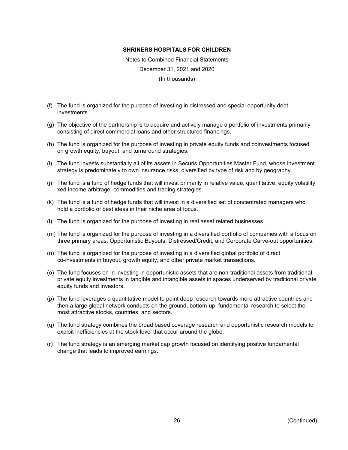Notes to Combined Financial Statements December 31, 2021 and 2020 (In thousands)

- (f) The fund is organized for the purpose of investing in distressed and special opportunity debt investments.
- (g) The objective of the partnership is to acquire and actively manage a portfolio of investments primarily consisting of direct commercial loans and other structured financings.
- (h) The fund is organized for the purpose of investing in private equity funds and coinvestments focused on growth equity, buyout, and turnaround strategies.
- (i) The fund invests substantially all of its assets in Securis Opportunities Master Fund, whose investment strategy is predominately to own insurance risks, diversified by type of risk and by geography.
- (j) The fund is a fund of hedge funds that will invest primarily in relative value, quantitative, equity volatility, xed income arbitrage, commodities and trading strategies.
- (k) The fund is a fund of hedge funds that will invest in a diversified set of concentrated managers who hold a portfolio of best ideas in their niche area of focus.
- (l) The fund is organized for the purpose of investing in real asset related businesses.
- (m) The fund is organized for the purpose of investing in a diversified portfolio of companies with a focus on three primary areas: Opportunistic Buyouts, Distressed/Credit, and Corporate Carve-out opportunities.
- (n) The fund is organized for the purpose of investing in a diversified global portfolio of direct co-investments in buyout, growth equity, and other private market transactions.
- (o) The fund focuses on in investing in opportunistic assets that are non-traditional assets from traditional private equity investments in tangible and intangible assets in spaces underserved by traditional private equity funds and investors.
- (p) The fund leverages a quantitative model to point deep research towards more attractive countries and then a large global network conducts on the ground, bottom-up, fundamental research to select the most attractive stocks, countries, and sectors.
- (q) The fund strategy combines the broad based coverage research and opportunistic research models to exploit inefficiencies at the stock level that occur around the globe.
- (r) The fund strategy is an emerging market cap growth focused on identifying positive fundamental change that leads to improved earnings.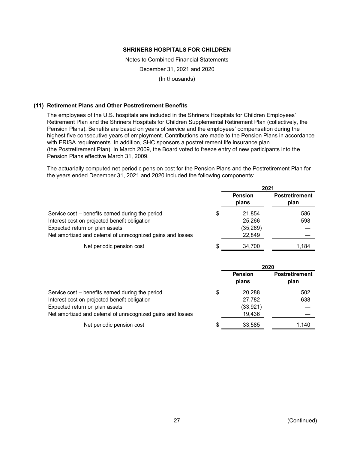Notes to Combined Financial Statements December 31, 2021 and 2020 (In thousands)

## **(11) Retirement Plans and Other Postretirement Benefits**

The employees of the U.S. hospitals are included in the Shriners Hospitals for Children Employees' Retirement Plan and the Shriners Hospitals for Children Supplemental Retirement Plan (collectively, the Pension Plans). Benefits are based on years of service and the employees' compensation during the highest five consecutive years of employment. Contributions are made to the Pension Plans in accordance with ERISA requirements. In addition, SHC sponsors a postretirement life insurance plan (the Postretirement Plan). In March 2009, the Board voted to freeze entry of new participants into the Pension Plans effective March 31, 2009.

The actuarially computed net periodic pension cost for the Pension Plans and the Postretirement Plan for the years ended December 31, 2021 and 2020 included the following components:

|                                                             | 2021                    |                               |  |
|-------------------------------------------------------------|-------------------------|-------------------------------|--|
|                                                             | <b>Pension</b><br>plans | <b>Postretirement</b><br>plan |  |
| Service cost – benefits earned during the period            | \$<br>21.854            | 586                           |  |
| Interest cost on projected benefit obligation               | 25,266                  | 598                           |  |
| Expected return on plan assets                              | (35, 269)               |                               |  |
| Net amortized and deferral of unrecognized gains and losses | 22,849                  |                               |  |
| Net periodic pension cost                                   | 34,700                  | 1.184                         |  |

|                                                             |   | 2020                    |                               |  |
|-------------------------------------------------------------|---|-------------------------|-------------------------------|--|
|                                                             |   | <b>Pension</b><br>plans | <b>Postretirement</b><br>plan |  |
| Service cost – benefits earned during the period            | S | 20,288                  | 502                           |  |
| Interest cost on projected benefit obligation               |   | 27,782                  | 638                           |  |
| Expected return on plan assets                              |   | (33, 921)               |                               |  |
| Net amortized and deferral of unrecognized gains and losses |   | 19,436                  |                               |  |
| Net periodic pension cost                                   |   | 33,585                  | 1,140                         |  |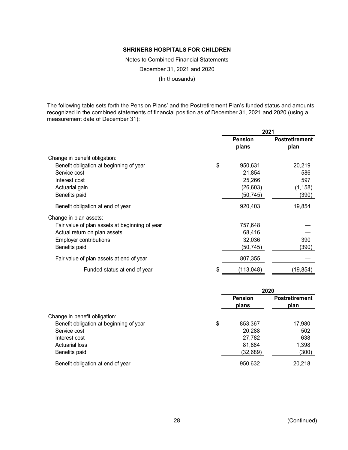Notes to Combined Financial Statements December 31, 2021 and 2020 (In thousands)

The following table sets forth the Pension Plans' and the Postretirement Plan's funded status and amounts recognized in the combined statements of financial position as of December 31, 2021 and 2020 (using a measurement date of December 31):

|                                                | 2021             |                       |  |
|------------------------------------------------|------------------|-----------------------|--|
|                                                | <b>Pension</b>   | <b>Postretirement</b> |  |
|                                                | plans            | plan                  |  |
| Change in benefit obligation:                  |                  |                       |  |
| Benefit obligation at beginning of year        | \$<br>950,631    | 20,219                |  |
| Service cost                                   | 21,854           | 586                   |  |
| Interest cost                                  | 25,266           | 597                   |  |
| Actuarial gain                                 | (26, 603)        | (1, 158)              |  |
| Benefits paid                                  | (50, 745)        | (390)                 |  |
| Benefit obligation at end of year              | 920,403          | 19,854                |  |
| Change in plan assets:                         |                  |                       |  |
| Fair value of plan assets at beginning of year | 757,648          |                       |  |
| Actual return on plan assets                   | 68,416           |                       |  |
| <b>Employer contributions</b>                  | 32,036           | 390                   |  |
| Benefits paid                                  | (50,745)         | (390)                 |  |
| Fair value of plan assets at end of year       | 807,355          |                       |  |
| Funded status at end of year                   | \$<br>(113, 048) | (19,854)              |  |

|                                         | 2020                    |                               |
|-----------------------------------------|-------------------------|-------------------------------|
|                                         | <b>Pension</b><br>plans | <b>Postretirement</b><br>plan |
| Change in benefit obligation:           |                         |                               |
| Benefit obligation at beginning of year | \$<br>853,367           | 17,980                        |
| Service cost                            | 20,288                  | 502                           |
| Interest cost                           | 27,782                  | 638                           |
| Actuarial loss                          | 81,884                  | 1,398                         |
| Benefits paid                           | (32, 689)               | (300)                         |
| Benefit obligation at end of year       | 950,632                 | 20,218                        |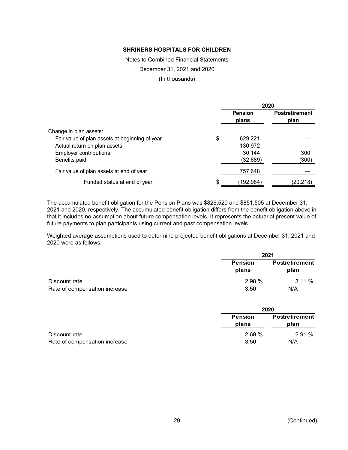Notes to Combined Financial Statements

December 31, 2021 and 2020

(In thousands)

|                                                |     | 2020                    |                               |
|------------------------------------------------|-----|-------------------------|-------------------------------|
|                                                |     | <b>Pension</b><br>plans | <b>Postretirement</b><br>plan |
| Change in plan assets:                         |     |                         |                               |
| Fair value of plan assets at beginning of year | \$  | 629,221                 |                               |
| Actual return on plan assets                   |     | 130,972                 |                               |
| <b>Employer contributions</b>                  |     | 30,144                  | 300                           |
| Benefits paid                                  |     | (32, 689)               | (300)                         |
| Fair value of plan assets at end of year       |     | 757,648                 |                               |
| Funded status at end of year                   | \$. | (192,984)               | (20,218)                      |

The accumulated benefit obligation for the Pension Plans was \$826,520 and \$851,505 at December 31, 2021 and 2020, respectively. The accumulated benefit obligation differs from the benefit obligation above in that it includes no assumption about future compensation levels. It represents the actuarial present value of future payments to plan participants using current and past compensation levels.

Weighted average assumptions used to determine projected benefit obligations at December 31, 2021 and 2020 were as follows:

|                               |                  | 2021                          |  |  |
|-------------------------------|------------------|-------------------------------|--|--|
|                               | Pension<br>plans | <b>Postretirement</b><br>plan |  |  |
| Discount rate                 | 2.98 %           | $3.11\%$                      |  |  |
| Rate of compensation increase | 3.50             | N/A                           |  |  |

|                               | 2020                    |                               |
|-------------------------------|-------------------------|-------------------------------|
|                               | <b>Pension</b><br>plans | <b>Postretirement</b><br>plan |
| Discount rate                 | 2.69%                   | 2.91%                         |
| Rate of compensation increase | 3.50                    | N/A                           |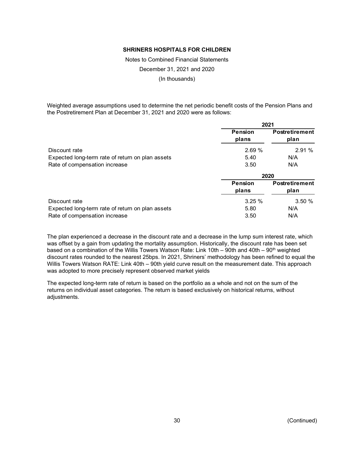Notes to Combined Financial Statements December 31, 2021 and 2020

(In thousands)

Weighted average assumptions used to determine the net periodic benefit costs of the Pension Plans and the Postretirement Plan at December 31, 2021 and 2020 were as follows:

|                                                  | 2021                    |                               |  |
|--------------------------------------------------|-------------------------|-------------------------------|--|
|                                                  | <b>Pension</b><br>plans | <b>Postretirement</b><br>plan |  |
| Discount rate                                    | 2.69%                   | 2.91%                         |  |
| Expected long-term rate of return on plan assets | 5.40                    | N/A                           |  |
| Rate of compensation increase                    | 3.50                    | N/A                           |  |
|                                                  | 2020                    |                               |  |
|                                                  | <b>Pension</b>          | <b>Postretirement</b>         |  |
|                                                  | plans                   | plan                          |  |
| Discount rate                                    | 3.25%                   | 3.50%                         |  |
| Expected long-term rate of return on plan assets | 5.80                    | N/A                           |  |
| Rate of compensation increase                    | 3.50                    | N/A                           |  |

The plan experienced a decrease in the discount rate and a decrease in the lump sum interest rate, which was offset by a gain from updating the mortality assumption. Historically, the discount rate has been set based on a combination of the Willis Towers Watson Rate: Link 10th – 90th and 40th – 90th weighted discount rates rounded to the nearest 25bps. In 2021, Shriners' methodology has been refined to equal the Willis Towers Watson RATE: Link 40th – 90th yield curve result on the measurement date. This approach was adopted to more precisely represent observed market yields

The expected long-term rate of return is based on the portfolio as a whole and not on the sum of the returns on individual asset categories. The return is based exclusively on historical returns, without adjustments.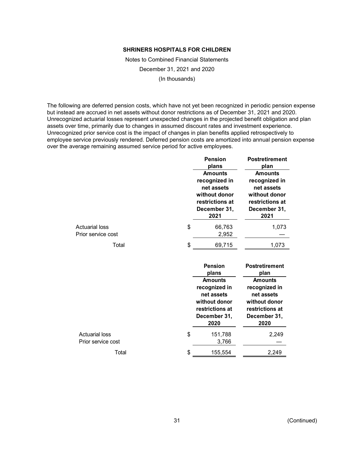Notes to Combined Financial Statements December 31, 2021 and 2020 (In thousands)

The following are deferred pension costs, which have not yet been recognized in periodic pension expense but instead are accrued in net assets without donor restrictions as of December 31, 2021 and 2020. Unrecognized actuarial losses represent unexpected changes in the projected benefit obligation and plan assets over time, primarily due to changes in assumed discount rates and investment experience. Unrecognized prior service cost is the impact of changes in plan benefits applied retrospectively to employee service previously rendered. Deferred pension costs are amortized into annual pension expense over the average remaining assumed service period for active employees.

|                                             | <b>Pension</b><br>plans<br><b>Amounts</b><br>recognized in               | <b>Postretirement</b><br>plan<br><b>Amounts</b><br>recognized in               |
|---------------------------------------------|--------------------------------------------------------------------------|--------------------------------------------------------------------------------|
|                                             | net assets<br>without donor<br>restrictions at<br>December 31,<br>2021   | net assets<br>without donor<br>restrictions at<br>December 31,<br>2021         |
| <b>Actuarial loss</b><br>Prior service cost | \$<br>66,763<br>2,952                                                    | 1,073                                                                          |
| Total                                       | \$<br>69,715                                                             | 1,073                                                                          |
|                                             | <b>Pension</b><br>plans<br><b>Amounts</b><br>recognized in<br>net assets | <b>Postretirement</b><br>plan<br><b>Amounts</b><br>recognized in<br>net assets |
|                                             | without donor<br>restrictions at<br>December 31,<br>2020                 | without donor<br>restrictions at<br>December 31,<br>2020                       |
| <b>Actuarial loss</b><br>Prior service cost | \$<br>151,788<br>3,766                                                   | 2,249                                                                          |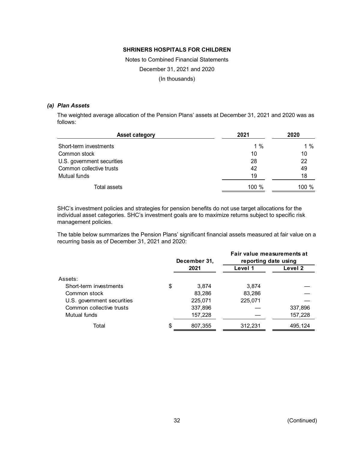Notes to Combined Financial Statements December 31, 2021 and 2020 (In thousands)

#### *(a) Plan Assets*

The weighted average allocation of the Pension Plans' assets at December 31, 2021 and 2020 was as follows:

| <b>Asset category</b>      | 2021    | 2020    |
|----------------------------|---------|---------|
| Short-term investments     | 1 $%$   | 1 $%$   |
| Common stock               | 10      | 10      |
| U.S. government securities | 28      | 22      |
| Common collective trusts   | 42      | 49      |
| Mutual funds               | 19      | 18      |
| Total assets               | $100\%$ | 100 $%$ |

SHC's investment policies and strategies for pension benefits do not use target allocations for the individual asset categories. SHC's investment goals are to maximize returns subject to specific risk management policies.

The table below summarizes the Pension Plans' significant financial assets measured at fair value on a recurring basis as of December 31, 2021 and 2020:

|                            |    | December 31, | Fair value measurements at<br>reporting date using |         |  |
|----------------------------|----|--------------|----------------------------------------------------|---------|--|
|                            |    | 2021         | Level 1                                            | Level 2 |  |
| Assets:                    |    |              |                                                    |         |  |
| Short-term investments     | \$ | 3.874        | 3.874                                              |         |  |
| Common stock               |    | 83,286       | 83,286                                             |         |  |
| U.S. government securities |    | 225,071      | 225,071                                            |         |  |
| Common collective trusts   |    | 337,896      |                                                    | 337,896 |  |
| Mutual funds               |    | 157,228      |                                                    | 157,228 |  |
| Total                      | S  | 807,355      | 312,231                                            | 495,124 |  |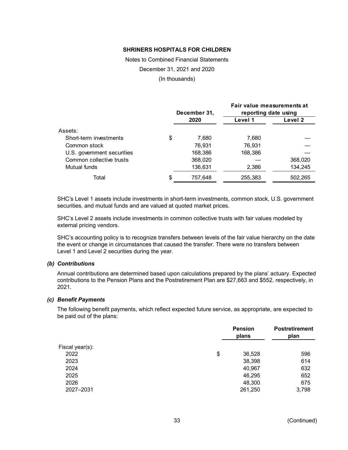Notes to Combined Financial Statements December 31, 2021 and 2020 (In thousands)

|                            | December 31,  | Fair value measurements at<br>reporting date using |         |  |
|----------------------------|---------------|----------------------------------------------------|---------|--|
|                            | 2020          | Level 1                                            | Level 2 |  |
| Assets:                    |               |                                                    |         |  |
| Short-term investments     | \$<br>7,680   | 7.680                                              |         |  |
| Common stock               | 76.931        | 76.931                                             |         |  |
| U.S. government securities | 168,386       | 168,386                                            |         |  |
| Common collective trusts   | 368,020       |                                                    | 368,020 |  |
| Mutual funds               | 136,631       | 2,386                                              | 134,245 |  |
| Total                      | \$<br>757,648 | 255,383                                            | 502,265 |  |

SHC's Level 1 assets include investments in short-term investments, common stock, U.S. government securities, and mutual funds and are valued at quoted market prices.

SHC's Level 2 assets include investments in common collective trusts with fair values modeled by external pricing vendors.

SHC's accounting policy is to recognize transfers between levels of the fair value hierarchy on the date the event or change in circumstances that caused the transfer. There were no transfers between Level 1 and Level 2 securities during the year.

#### *(b) Contributions*

Annual contributions are determined based upon calculations prepared by the plans' actuary. Expected contributions to the Pension Plans and the Postretirement Plan are \$27,663 and \$552, respectively, in 2021.

#### *(c) Benefit Payments*

The following benefit payments, which reflect expected future service, as appropriate, are expected to be paid out of the plans:

| <b>Pension</b><br>plans | <b>Postretirement</b><br>plan |
|-------------------------|-------------------------------|
|                         |                               |
| \$<br>36,528            | 596                           |
| 38,398                  | 614                           |
| 40,967                  | 632                           |
| 46,295                  | 652                           |
| 48,300                  | 675                           |
| 261,250                 | 3,798                         |
|                         |                               |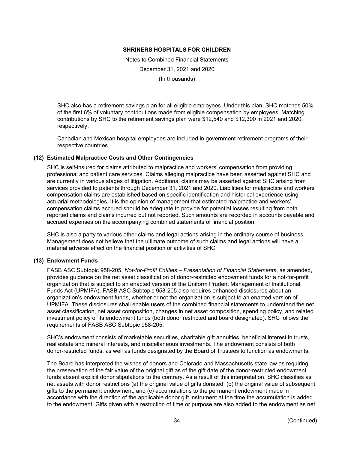Notes to Combined Financial Statements December 31, 2021 and 2020 (In thousands)

SHC also has a retirement savings plan for all eligible employees. Under this plan, SHC matches 50% of the first 6% of voluntary contributions made from eligible compensation by employees. Matching contributions by SHC to the retirement savings plan were \$12,540 and \$12,300 in 2021 and 2020, respectively.

Canadian and Mexican hospital employees are included in government retirement programs of their respective countries.

## **(12) Estimated Malpractice Costs and Other Contingencies**

SHC is self-insured for claims attributed to malpractice and workers' compensation from providing professional and patient care services. Claims alleging malpractice have been asserted against SHC and are currently in various stages of litigation. Additional claims may be asserted against SHC arising from services provided to patients through December 31, 2021 and 2020. Liabilities for malpractice and workers' compensation claims are established based on specific identification and historical experience using actuarial methodologies. It is the opinion of management that estimated malpractice and workers' compensation claims accrued should be adequate to provide for potential losses resulting from both reported claims and claims incurred but not reported. Such amounts are recorded in accounts payable and accrued expenses on the accompanying combined statements of financial position.

SHC is also a party to various other claims and legal actions arising in the ordinary course of business. Management does not believe that the ultimate outcome of such claims and legal actions will have a material adverse effect on the financial position or activities of SHC.

#### **(13) Endowment Funds**

FASB ASC Subtopic 958-205, *Not-for-Profit Entities – Presentation of Financial Statements*, as amended, provides guidance on the net asset classification of donor-restricted endowment funds for a not-for-profit organization that is subject to an enacted version of the Uniform Prudent Management of Institutional Funds Act (UPMIFA). FASB ASC Subtopic 958-205 also requires enhanced disclosures about an organization's endowment funds, whether or not the organization is subject to an enacted version of UPMIFA. These disclosures shall enable users of the combined financial statements to understand the net asset classification, net asset composition, changes in net asset composition, spending policy, and related investment policy of its endowment funds (both donor restricted and board designated). SHC follows the requirements of FASB ASC Subtopic 958-205.

SHC's endowment consists of marketable securities, charitable gift annuities, beneficial interest in trusts, real estate and mineral interests, and miscellaneous investments. The endowment consists of both donor-restricted funds, as well as funds designated by the Board of Trustees to function as endowments.

The Board has interpreted the wishes of donors and Colorado and Massachusetts state law as requiring the preservation of the fair value of the original gift as of the gift date of the donor-restricted endowment funds absent explicit donor stipulations to the contrary. As a result of this interpretation, SHC classifies as net assets with donor restrictions (a) the original value of gifts donated, (b) the original value of subsequent gifts to the permanent endowment, and (c) accumulations to the permanent endowment made in accordance with the direction of the applicable donor gift instrument at the time the accumulation is added to the endowment. Gifts given with a restriction of time or purpose are also added to the endowment as net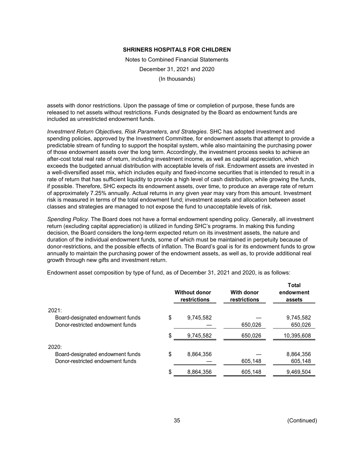Notes to Combined Financial Statements December 31, 2021 and 2020 (In thousands)

assets with donor restrictions. Upon the passage of time or completion of purpose, these funds are released to net assets without restrictions. Funds designated by the Board as endowment funds are included as unrestricted endowment funds.

*Investment Return Objectives, Risk Parameters, and Strategies*. SHC has adopted investment and spending policies, approved by the Investment Committee, for endowment assets that attempt to provide a predictable stream of funding to support the hospital system, while also maintaining the purchasing power of those endowment assets over the long term. Accordingly, the investment process seeks to achieve an after-cost total real rate of return, including investment income, as well as capital appreciation, which exceeds the budgeted annual distribution with acceptable levels of risk. Endowment assets are invested in a well-diversified asset mix, which includes equity and fixed-income securities that is intended to result in a rate of return that has sufficient liquidity to provide a high level of cash distribution, while growing the funds, if possible. Therefore, SHC expects its endowment assets, over time, to produce an average rate of return of approximately 7.25% annually. Actual returns in any given year may vary from this amount. Investment risk is measured in terms of the total endowment fund; investment assets and allocation between asset classes and strategies are managed to not expose the fund to unacceptable levels of risk.

*Spending Policy*. The Board does not have a formal endowment spending policy. Generally, all investment return (excluding capital appreciation) is utilized in funding SHC's programs. In making this funding decision, the Board considers the long-term expected return on its investment assets, the nature and duration of the individual endowment funds, some of which must be maintained in perpetuity because of donor-restrictions, and the possible effects of inflation. The Board's goal is for its endowment funds to grow annually to maintain the purchasing power of the endowment assets, as well as, to provide additional real growth through new gifts and investment return.

|                                  | <b>Without donor</b><br>restrictions | <b>With donor</b><br>restrictions | Total<br>endowment<br>assets |
|----------------------------------|--------------------------------------|-----------------------------------|------------------------------|
| 2021:                            |                                      |                                   |                              |
| Board-designated endowment funds | \$<br>9,745,582                      |                                   | 9,745,582                    |
| Donor-restricted endowment funds |                                      | 650,026                           | 650,026                      |
|                                  | \$<br>9,745,582                      | 650,026                           | 10,395,608                   |
| 2020:                            |                                      |                                   |                              |
| Board-designated endowment funds | \$<br>8,864,356                      |                                   | 8,864,356                    |
| Donor-restricted endowment funds |                                      | 605,148                           | 605,148                      |
|                                  | \$<br>8,864,356                      | 605,148                           | 9,469,504                    |

Endowment asset composition by type of fund, as of December 31, 2021 and 2020, is as follows: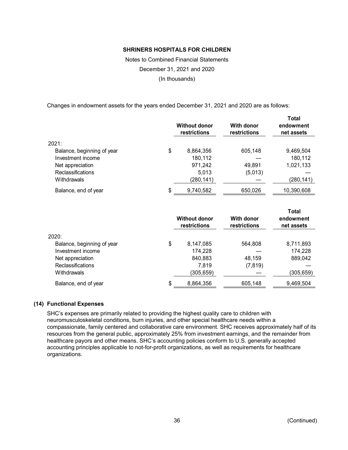Notes to Combined Financial Statements December 31, 2021 and 2020 (In thousands)

Changes in endowment assets for the years ended December 31, 2021 and 2020 are as follows:

|                            | <b>Without donor</b><br>restrictions | With donor<br>restrictions | <b>Total</b><br>endowment<br>net assets |
|----------------------------|--------------------------------------|----------------------------|-----------------------------------------|
| 2021:                      |                                      |                            |                                         |
| Balance, beginning of year | \$<br>8,864,356                      | 605,148                    | 9,469,504                               |
| Investment income          | 180,112                              |                            | 180,112                                 |
| Net appreciation           | 971,242                              | 49,891                     | 1,021,133                               |
| <b>Reclassifications</b>   | 5,013                                | (5,013)                    |                                         |
| Withdrawals                | (280, 141)                           |                            | (280,141)                               |
| Balance, end of year       | \$<br>9,740,582                      | 650,026                    | 10,390,608                              |
|                            |                                      |                            |                                         |

|                            | <b>Without donor</b><br><b>restrictions</b> | With donor<br>restrictions | Total<br>endowment<br>net assets |
|----------------------------|---------------------------------------------|----------------------------|----------------------------------|
| 2020:                      |                                             |                            |                                  |
| Balance, beginning of year | \$<br>8,147,085                             | 564,808                    | 8,711,893                        |
| Investment income          | 174,228                                     |                            | 174,228                          |
| Net appreciation           | 840,883                                     | 48,159                     | 889,042                          |
| <b>Reclassifications</b>   | 7,819                                       | (7, 819)                   |                                  |
| Withdrawals                | (305,659)                                   |                            | (305,659)                        |
| Balance, end of year       | \$<br>8,864,356                             | 605,148                    | 9,469,504                        |

## **(14) Functional Expenses**

SHC's expenses are primarily related to providing the highest quality care to children with neuromusculoskeletal conditions, burn injuries, and other special healthcare needs within a compassionate, family centered and collaborative care environment. SHC receives approximately half of its resources from the general public, approximately 25% from investment earnings, and the remainder from healthcare payors and other means. SHC's accounting policies conform to U.S. generally accepted accounting principles applicable to not-for-profit organizations, as well as requirements for healthcare organizations.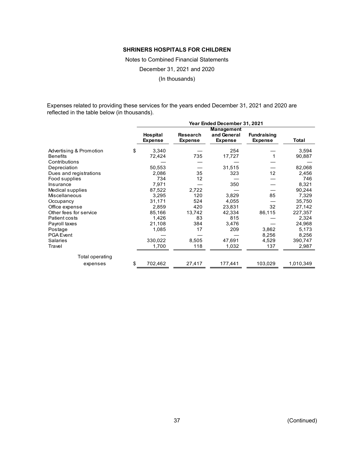Notes to Combined Financial Statements

December 31, 2021 and 2020

(In thousands)

Expenses related to providing these services for the years ended December 31, 2021 and 2020 are reflected in the table below (in thousands).

|                         |    | Year Ended December 31, 2021      |                            |                                             |                                      |           |  |
|-------------------------|----|-----------------------------------|----------------------------|---------------------------------------------|--------------------------------------|-----------|--|
|                         |    | <b>Hospital</b><br><b>Expense</b> | Research<br><b>Expense</b> | Management<br>and General<br><b>Expense</b> | <b>Fundraising</b><br><b>Expense</b> | Total     |  |
| Advertising & Promotion | \$ | 3,340                             |                            | 254                                         |                                      | 3,594     |  |
| <b>Benefits</b>         |    | 72,424                            | 735                        | 17,727                                      |                                      | 90,887    |  |
| Contributions           |    |                                   |                            |                                             |                                      |           |  |
| Depreciation            |    | 50,553                            |                            | 31,515                                      |                                      | 82,068    |  |
| Dues and registrations  |    | 2,086                             | 35                         | 323                                         | 12                                   | 2,456     |  |
| Food supplies           |    | 734                               | 12                         |                                             |                                      | 746       |  |
| Insurance               |    | 7,971                             |                            | 350                                         |                                      | 8,321     |  |
| Medical supplies        |    | 87,522                            | 2,722                      |                                             |                                      | 90,244    |  |
| <b>Miscellaneous</b>    |    | 3,295                             | 120                        | 3,829                                       | 85                                   | 7,329     |  |
| Occupancy               |    | 31,171                            | 524                        | 4,055                                       |                                      | 35,750    |  |
| Office expense          |    | 2,859                             | 420                        | 23,831                                      | 32                                   | 27,142    |  |
| Other fees for service  |    | 85,166                            | 13,742                     | 42,334                                      | 86,115                               | 227,357   |  |
| Patient costs           |    | 1,426                             | 83                         | 815                                         |                                      | 2,324     |  |
| Payroll taxes           |    | 21,108                            | 384                        | 3,476                                       |                                      | 24,968    |  |
| Postage                 |    | 1,085                             | 17                         | 209                                         | 3,862                                | 5,173     |  |
| <b>PGA Event</b>        |    |                                   |                            |                                             | 8,256                                | 8,256     |  |
| <b>Salaries</b>         |    | 330,022                           | 8,505                      | 47,691                                      | 4,529                                | 390,747   |  |
| Travel                  |    | 1,700                             | 118                        | 1,032                                       | 137                                  | 2,987     |  |
| Total operating         |    |                                   |                            |                                             |                                      |           |  |
| expenses                | \$ | 702,462                           | 27,417                     | 177,441                                     | 103,029                              | 1,010,349 |  |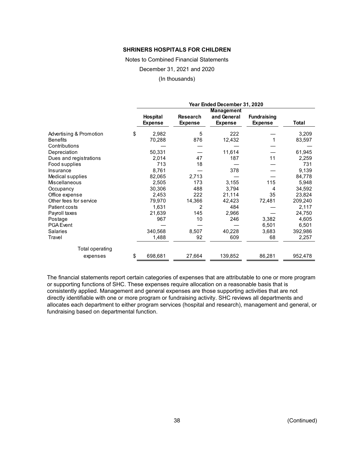Notes to Combined Financial Statements

December 31, 2021 and 2020

(In thousands)

|                         | Year Ended December 31, 2020 |                                   |                                   |                                             |                                      |         |
|-------------------------|------------------------------|-----------------------------------|-----------------------------------|---------------------------------------------|--------------------------------------|---------|
|                         |                              | <b>Hospital</b><br><b>Expense</b> | <b>Research</b><br><b>Expense</b> | Management<br>and General<br><b>Expense</b> | <b>Fundraising</b><br><b>Expense</b> | Total   |
| Advertising & Promotion | \$                           | 2,982                             | 5                                 | 222                                         |                                      | 3,209   |
| <b>Benefits</b>         |                              | 70,288                            | 876                               | 12,432                                      |                                      | 83,597  |
| Contributions           |                              |                                   |                                   |                                             |                                      |         |
| Depreciation            |                              | 50,331                            |                                   | 11,614                                      |                                      | 61,945  |
| Dues and registrations  |                              | 2,014                             | 47                                | 187                                         | 11                                   | 2,259   |
| Food supplies           |                              | 713                               | 18                                |                                             |                                      | 731     |
| Insurance               |                              | 8,761                             |                                   | 378                                         |                                      | 9,139   |
| Medical supplies        |                              | 82,065                            | 2,713                             |                                             |                                      | 84,778  |
| <b>Miscellaneous</b>    |                              | 2,505                             | 173                               | 3,155                                       | 115                                  | 5,948   |
| Occupancy               |                              | 30,306                            | 488                               | 3,794                                       | 4                                    | 34,592  |
| Office expense          |                              | 2,453                             | 222                               | 21,114                                      | 35                                   | 23,824  |
| Other fees for service  |                              | 79,970                            | 14,366                            | 42,423                                      | 72,481                               | 209,240 |
| Patient costs           |                              | 1,631                             | 2                                 | 484                                         |                                      | 2,117   |
| Payroll taxes           |                              | 21,639                            | 145                               | 2,966                                       |                                      | 24,750  |
| Postage                 |                              | 967                               | 10                                | 246                                         | 3,382                                | 4,605   |
| <b>PGA</b> Event        |                              |                                   |                                   |                                             | 6,501                                | 6,501   |
| <b>Salaries</b>         |                              | 340,568                           | 8,507                             | 40,228                                      | 3,683                                | 392,986 |
| Travel                  |                              | 1,488                             | 92                                | 609                                         | 68                                   | 2,257   |
| Total operating         |                              |                                   |                                   |                                             |                                      |         |
| expenses                | \$                           | 698,681                           | 27,664                            | 139,852                                     | 86,281                               | 952,478 |

The financial statements report certain categories of expenses that are attributable to one or more program or supporting functions of SHC. These expenses require allocation on a reasonable basis that is consistently applied. Management and general expenses are those supporting activities that are not directly identifiable with one or more program or fundraising activity. SHC reviews all departments and allocates each department to either program services (hospital and research), management and general, or fundraising based on departmental function.